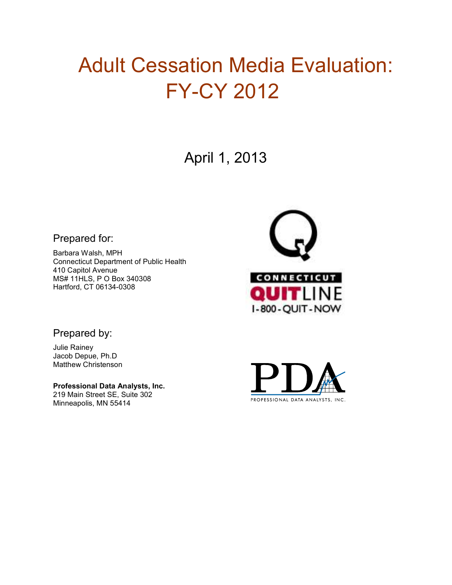# Adult Cessation Media Evaluation: FY-CY 2012

April 1, 2013

### Prepared for:

Barbara Walsh, MPH Connecticut Department of Public Health 410 Capitol Avenue MS# 11HLS, P O Box 340308 Hartford, CT 06134-0308



### Prepared by:

Julie Rainey Jacob Depue, Ph.D Matthew Christenson

**Professional Data Analysts, Inc.**  219 Main Street SE, Suite 302 Minneapolis, MN 55414

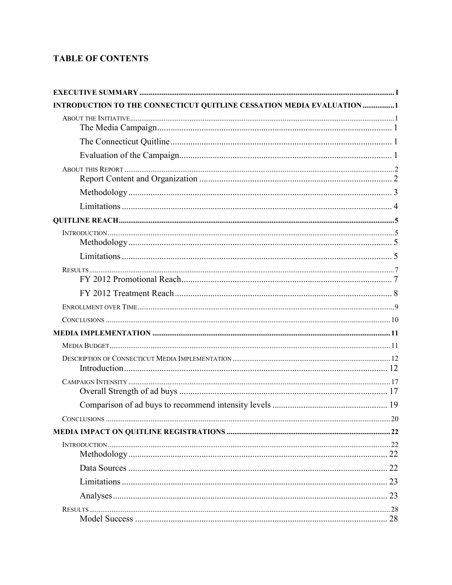### **TABLE OF CONTENTS**

| INTRODUCTION TO THE CONNECTICUT QUITLINE CESSATION MEDIA EVALUATION 1 |    |
|-----------------------------------------------------------------------|----|
|                                                                       |    |
|                                                                       |    |
|                                                                       |    |
|                                                                       |    |
|                                                                       |    |
|                                                                       |    |
|                                                                       |    |
|                                                                       |    |
|                                                                       |    |
|                                                                       |    |
|                                                                       |    |
|                                                                       |    |
|                                                                       |    |
|                                                                       |    |
|                                                                       |    |
|                                                                       |    |
|                                                                       |    |
|                                                                       |    |
|                                                                       |    |
|                                                                       |    |
|                                                                       |    |
|                                                                       |    |
|                                                                       |    |
|                                                                       |    |
|                                                                       |    |
|                                                                       |    |
|                                                                       |    |
|                                                                       | 28 |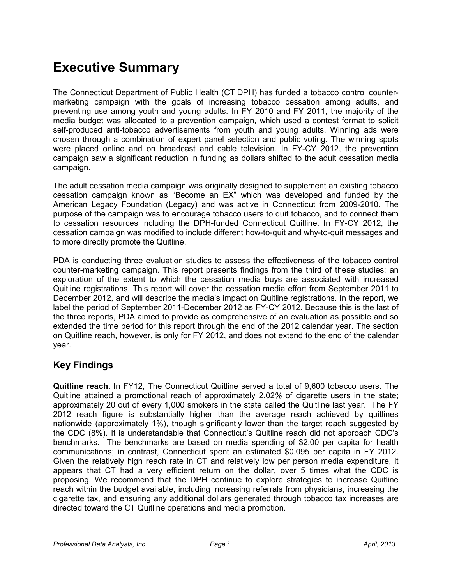## **Executive Summary**

The Connecticut Department of Public Health (CT DPH) has funded a tobacco control countermarketing campaign with the goals of increasing tobacco cessation among adults, and preventing use among youth and young adults. In FY 2010 and FY 2011, the majority of the media budget was allocated to a prevention campaign, which used a contest format to solicit self-produced anti-tobacco advertisements from youth and young adults. Winning ads were chosen through a combination of expert panel selection and public voting. The winning spots were placed online and on broadcast and cable television. In FY-CY 2012, the prevention campaign saw a significant reduction in funding as dollars shifted to the adult cessation media campaign.

The adult cessation media campaign was originally designed to supplement an existing tobacco cessation campaign known as "Become an EX" which was developed and funded by the American Legacy Foundation (Legacy) and was active in Connecticut from 2009-2010. The purpose of the campaign was to encourage tobacco users to quit tobacco, and to connect them to cessation resources including the DPH-funded Connecticut Quitline. In FY-CY 2012, the cessation campaign was modified to include different how-to-quit and why-to-quit messages and to more directly promote the Quitline.

PDA is conducting three evaluation studies to assess the effectiveness of the tobacco control counter-marketing campaign. This report presents findings from the third of these studies: an exploration of the extent to which the cessation media buys are associated with increased Quitline registrations. This report will cover the cessation media effort from September 2011 to December 2012, and will describe the media's impact on Quitline registrations. In the report, we label the period of September 2011-December 2012 as FY-CY 2012. Because this is the last of the three reports, PDA aimed to provide as comprehensive of an evaluation as possible and so extended the time period for this report through the end of the 2012 calendar year. The section on Quitline reach, however, is only for FY 2012, and does not extend to the end of the calendar year.

### **Key Findings**

**Quitline reach.** In FY12, The Connecticut Quitline served a total of 9,600 tobacco users. The Quitline attained a promotional reach of approximately 2.02*%* of cigarette users in the state; approximately 20 out of every 1,000 smokers in the state called the Quitline last year. The FY 2012 reach figure is substantially higher than the average reach achieved by quitlines nationwide (approximately 1%), though significantly lower than the target reach suggested by the CDC (8%). It is understandable that Connecticut's Quitline reach did not approach CDC's benchmarks. The benchmarks are based on media spending of \$2.00 per capita for health communications; in contrast, Connecticut spent an estimated \$0.095 per capita in FY 2012. Given the relatively high reach rate in CT and relatively low per person media expenditure, it appears that CT had a very efficient return on the dollar, over 5 times what the CDC is proposing. We recommend that the DPH continue to explore strategies to increase Quitline reach within the budget available, including increasing referrals from physicians, increasing the cigarette tax, and ensuring any additional dollars generated through tobacco tax increases are directed toward the CT Quitline operations and media promotion.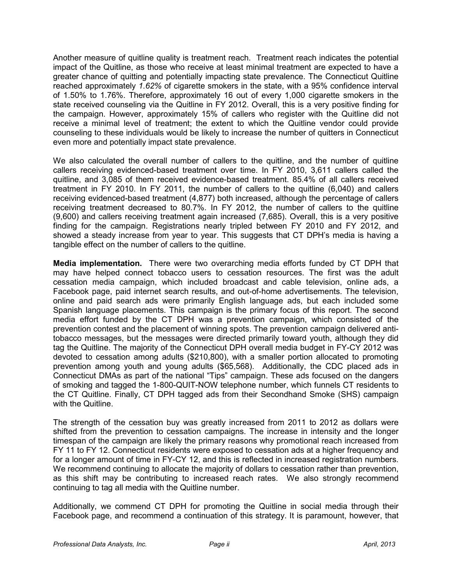Another measure of quitline quality is treatment reach. Treatment reach indicates the potential impact of the Quitline, as those who receive at least minimal treatment are expected to have a greater chance of quitting and potentially impacting state prevalence. The Connecticut Quitline reached approximately *1.62%* of cigarette smokers in the state, with a 95% confidence interval of 1.50% to 1.76%. Therefore, approximately 16 out of every 1,000 cigarette smokers in the state received counseling via the Quitline in FY 2012. Overall, this is a very positive finding for the campaign. However, approximately 15% of callers who register with the Quitline did not receive a minimal level of treatment; the extent to which the Quitline vendor could provide counseling to these individuals would be likely to increase the number of quitters in Connecticut even more and potentially impact state prevalence.

We also calculated the overall number of callers to the quitilne, and the number of quitilne callers receiving evidenced-based treatment over time. In FY 2010, 3,611 callers called the quitline, and 3,085 of them received evidence-based treatment. 85.4% of all callers received treatment in FY 2010. In FY 2011, the number of callers to the quitline (6,040) and callers receiving evidenced-based treatment (4,877) both increased, although the percentage of callers receiving treatment decreased to 80.7%. In FY 2012, the number of callers to the quitline (9,600) and callers receiving treatment again increased (7,685). Overall, this is a very positive finding for the campaign. Registrations nearly tripled between FY 2010 and FY 2012, and showed a steady increase from year to year. This suggests that CT DPH's media is having a tangible effect on the number of callers to the quitline.

**Media implementation.**There were two overarching media efforts funded by CT DPH that may have helped connect tobacco users to cessation resources. The first was the adult cessation media campaign, which included broadcast and cable television, online ads, a Facebook page, paid internet search results, and out-of-home advertisements. The television, online and paid search ads were primarily English language ads, but each included some Spanish language placements. This campaign is the primary focus of this report. The second media effort funded by the CT DPH was a prevention campaign, which consisted of the prevention contest and the placement of winning spots. The prevention campaign delivered antitobacco messages, but the messages were directed primarily toward youth, although they did tag the Quitline. The majority of the Connecticut DPH overall media budget in FY-CY 2012 was devoted to cessation among adults (\$210,800), with a smaller portion allocated to promoting prevention among youth and young adults (\$65,568). Additionally, the CDC placed ads in Connecticut DMAs as part of the national "Tips" campaign. These ads focused on the dangers of smoking and tagged the 1-800-QUIT-NOW telephone number, which funnels CT residents to the CT Quitline. Finally, CT DPH tagged ads from their Secondhand Smoke (SHS) campaign with the Quitline.

The strength of the cessation buy was greatly increased from 2011 to 2012 as dollars were shifted from the prevention to cessation campaigns. The increase in intensity and the longer timespan of the campaign are likely the primary reasons why promotional reach increased from FY 11 to FY 12. Connecticut residents were exposed to cessation ads at a higher frequency and for a longer amount of time in FY-CY 12, and this is reflected in increased registration numbers. We recommend continuing to allocate the majority of dollars to cessation rather than prevention, as this shift may be contributing to increased reach rates. We also strongly recommend continuing to tag all media with the Quitline number.

Additionally, we commend CT DPH for promoting the Quitline in social media through their Facebook page, and recommend a continuation of this strategy. It is paramount, however, that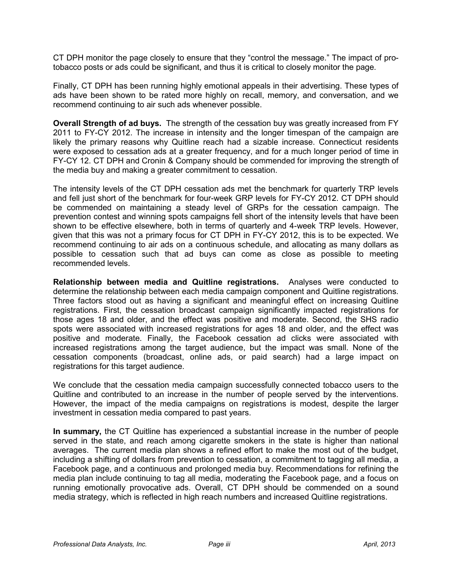CT DPH monitor the page closely to ensure that they "control the message." The impact of protobacco posts or ads could be significant, and thus it is critical to closely monitor the page.

Finally, CT DPH has been running highly emotional appeals in their advertising. These types of ads have been shown to be rated more highly on recall, memory, and conversation, and we recommend continuing to air such ads whenever possible.

**Overall Strength of ad buys.** The strength of the cessation buy was greatly increased from FY 2011 to FY-CY 2012. The increase in intensity and the longer timespan of the campaign are likely the primary reasons why Quitline reach had a sizable increase. Connecticut residents were exposed to cessation ads at a greater frequency, and for a much longer period of time in FY-CY 12. CT DPH and Cronin & Company should be commended for improving the strength of the media buy and making a greater commitment to cessation.

The intensity levels of the CT DPH cessation ads met the benchmark for quarterly TRP levels and fell just short of the benchmark for four-week GRP levels for FY-CY 2012. CT DPH should be commended on maintaining a steady level of GRPs for the cessation campaign. The prevention contest and winning spots campaigns fell short of the intensity levels that have been shown to be effective elsewhere, both in terms of quarterly and 4-week TRP levels. However, given that this was not a primary focus for CT DPH in FY-CY 2012, this is to be expected. We recommend continuing to air ads on a continuous schedule, and allocating as many dollars as possible to cessation such that ad buys can come as close as possible to meeting recommended levels.

**Relationship between media and Quitline registrations.** Analyses were conducted to determine the relationship between each media campaign component and Quitline registrations. Three factors stood out as having a significant and meaningful effect on increasing Quitline registrations. First, the cessation broadcast campaign significantly impacted registrations for those ages 18 and older, and the effect was positive and moderate. Second, the SHS radio spots were associated with increased registrations for ages 18 and older, and the effect was positive and moderate. Finally, the Facebook cessation ad clicks were associated with increased registrations among the target audience, but the impact was small. None of the cessation components (broadcast, online ads, or paid search) had a large impact on registrations for this target audience.

We conclude that the cessation media campaign successfully connected tobacco users to the Quitline and contributed to an increase in the number of people served by the interventions. However, the impact of the media campaigns on registrations is modest, despite the larger investment in cessation media compared to past years.

**In summary,** the CT Quitline has experienced a substantial increase in the number of people served in the state, and reach among cigarette smokers in the state is higher than national averages. The current media plan shows a refined effort to make the most out of the budget, including a shifting of dollars from prevention to cessation, a commitment to tagging all media, a Facebook page, and a continuous and prolonged media buy. Recommendations for refining the media plan include continuing to tag all media, moderating the Facebook page, and a focus on running emotionally provocative ads. Overall, CT DPH should be commended on a sound media strategy, which is reflected in high reach numbers and increased Quitline registrations.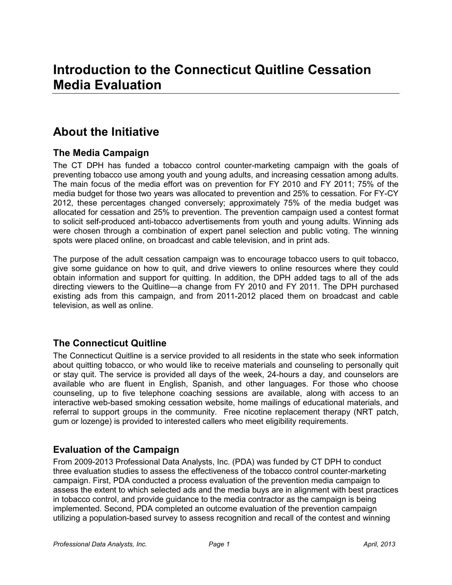### **About the Initiative**

### **The Media Campaign**

The CT DPH has funded a tobacco control counter-marketing campaign with the goals of preventing tobacco use among youth and young adults, and increasing cessation among adults. The main focus of the media effort was on prevention for FY 2010 and FY 2011; 75% of the media budget for those two years was allocated to prevention and 25% to cessation. For FY-CY 2012, these percentages changed conversely; approximately 75% of the media budget was allocated for cessation and 25% to prevention. The prevention campaign used a contest format to solicit self-produced anti-tobacco advertisements from youth and young adults. Winning ads were chosen through a combination of expert panel selection and public voting. The winning spots were placed online, on broadcast and cable television, and in print ads.

The purpose of the adult cessation campaign was to encourage tobacco users to quit tobacco, give some guidance on how to quit, and drive viewers to online resources where they could obtain information and support for quitting. In addition, the DPH added tags to all of the ads directing viewers to the Quitline—a change from FY 2010 and FY 2011. The DPH purchased existing ads from this campaign, and from 2011-2012 placed them on broadcast and cable television, as well as online.

### **The Connecticut Quitline**

The Connecticut Quitline is a service provided to all residents in the state who seek information about quitting tobacco, or who would like to receive materials and counseling to personally quit or stay quit. The service is provided all days of the week, 24-hours a day, and counselors are available who are fluent in English, Spanish, and other languages. For those who choose counseling, up to five telephone coaching sessions are available, along with access to an interactive web-based smoking cessation website, home mailings of educational materials, and referral to support groups in the community. Free nicotine replacement therapy (NRT patch, gum or lozenge) is provided to interested callers who meet eligibility requirements.

### **Evaluation of the Campaign**

From 2009-2013 Professional Data Analysts, Inc. (PDA) was funded by CT DPH to conduct three evaluation studies to assess the effectiveness of the tobacco control counter-marketing campaign. First, PDA conducted a process evaluation of the prevention media campaign to assess the extent to which selected ads and the media buys are in alignment with best practices in tobacco control, and provide guidance to the media contractor as the campaign is being implemented. Second, PDA completed an outcome evaluation of the prevention campaign utilizing a population-based survey to assess recognition and recall of the contest and winning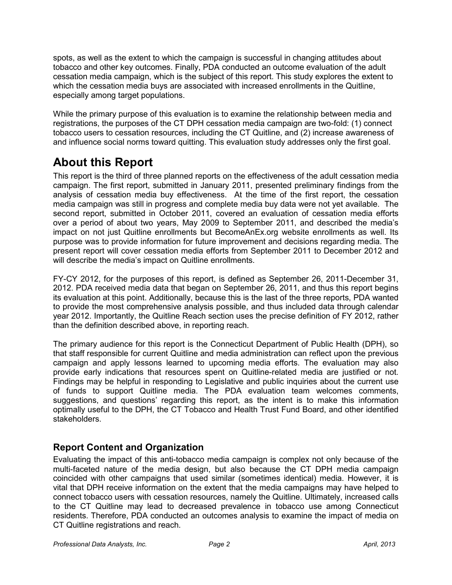spots, as well as the extent to which the campaign is successful in changing attitudes about tobacco and other key outcomes. Finally, PDA conducted an outcome evaluation of the adult cessation media campaign, which is the subject of this report. This study explores the extent to which the cessation media buys are associated with increased enrollments in the Quitline, especially among target populations.

While the primary purpose of this evaluation is to examine the relationship between media and registrations, the purposes of the CT DPH cessation media campaign are two-fold: (1) connect tobacco users to cessation resources, including the CT Quitline, and (2) increase awareness of and influence social norms toward quitting. This evaluation study addresses only the first goal.

### **About this Report**

This report is the third of three planned reports on the effectiveness of the adult cessation media campaign. The first report, submitted in January 2011, presented preliminary findings from the analysis of cessation media buy effectiveness. At the time of the first report, the cessation media campaign was still in progress and complete media buy data were not yet available. The second report, submitted in October 2011, covered an evaluation of cessation media efforts over a period of about two years, May 2009 to September 2011, and described the media's impact on not just Quitline enrollments but BecomeAnEx.org website enrollments as well. Its purpose was to provide information for future improvement and decisions regarding media. The present report will cover cessation media efforts from September 2011 to December 2012 and will describe the media's impact on Quitline enrollments.

FY-CY 2012, for the purposes of this report, is defined as September 26, 2011-December 31, 2012. PDA received media data that began on September 26, 2011, and thus this report begins its evaluation at this point. Additionally, because this is the last of the three reports, PDA wanted to provide the most comprehensive analysis possible, and thus included data through calendar year 2012. Importantly, the Quitline Reach section uses the precise definition of FY 2012, rather than the definition described above, in reporting reach.

The primary audience for this report is the Connecticut Department of Public Health (DPH), so that staff responsible for current Quitline and media administration can reflect upon the previous campaign and apply lessons learned to upcoming media efforts. The evaluation may also provide early indications that resources spent on Quitline-related media are justified or not. Findings may be helpful in responding to Legislative and public inquiries about the current use of funds to support Quitline media. The PDA evaluation team welcomes comments, suggestions, and questions' regarding this report, as the intent is to make this information optimally useful to the DPH, the CT Tobacco and Health Trust Fund Board, and other identified stakeholders.

### **Report Content and Organization**

Evaluating the impact of this anti-tobacco media campaign is complex not only because of the multi-faceted nature of the media design, but also because the CT DPH media campaign coincided with other campaigns that used similar (sometimes identical) media. However, it is vital that DPH receive information on the extent that the media campaigns may have helped to connect tobacco users with cessation resources, namely the Quitline. Ultimately, increased calls to the CT Quitline may lead to decreased prevalence in tobacco use among Connecticut residents. Therefore, PDA conducted an outcomes analysis to examine the impact of media on CT Quitline registrations and reach.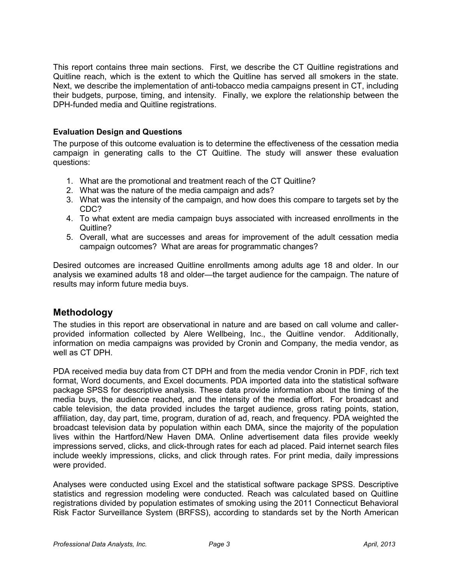This report contains three main sections. First, we describe the CT Quitline registrations and Quitline reach, which is the extent to which the Quitline has served all smokers in the state. Next, we describe the implementation of anti-tobacco media campaigns present in CT, including their budgets, purpose, timing, and intensity. Finally, we explore the relationship between the DPH-funded media and Quitline registrations.

### **Evaluation Design and Questions**

The purpose of this outcome evaluation is to determine the effectiveness of the cessation media campaign in generating calls to the CT Quitline. The study will answer these evaluation questions:

- 1. What are the promotional and treatment reach of the CT Quitline?
- 2. What was the nature of the media campaign and ads?
- 3. What was the intensity of the campaign, and how does this compare to targets set by the CDC?
- 4. To what extent are media campaign buys associated with increased enrollments in the Quitline?
- 5. Overall, what are successes and areas for improvement of the adult cessation media campaign outcomes? What are areas for programmatic changes?

Desired outcomes are increased Quitline enrollments among adults age 18 and older. In our analysis we examined adults 18 and older—the target audience for the campaign. The nature of results may inform future media buys.

### **Methodology**

The studies in this report are observational in nature and are based on call volume and callerprovided information collected by Alere Wellbeing, Inc., the Quitline vendor. Additionally, information on media campaigns was provided by Cronin and Company, the media vendor, as well as CT DPH.

PDA received media buy data from CT DPH and from the media vendor Cronin in PDF, rich text format, Word documents, and Excel documents. PDA imported data into the statistical software package SPSS for descriptive analysis. These data provide information about the timing of the media buys, the audience reached, and the intensity of the media effort. For broadcast and cable television, the data provided includes the target audience, gross rating points, station, affiliation, day, day part, time, program, duration of ad, reach, and frequency. PDA weighted the broadcast television data by population within each DMA, since the majority of the population lives within the Hartford/New Haven DMA. Online advertisement data files provide weekly impressions served, clicks, and click-through rates for each ad placed. Paid internet search files include weekly impressions, clicks, and click through rates. For print media, daily impressions were provided.

Analyses were conducted using Excel and the statistical software package SPSS. Descriptive statistics and regression modeling were conducted. Reach was calculated based on Quitline registrations divided by population estimates of smoking using the 2011 Connecticut Behavioral Risk Factor Surveillance System (BRFSS), according to standards set by the North American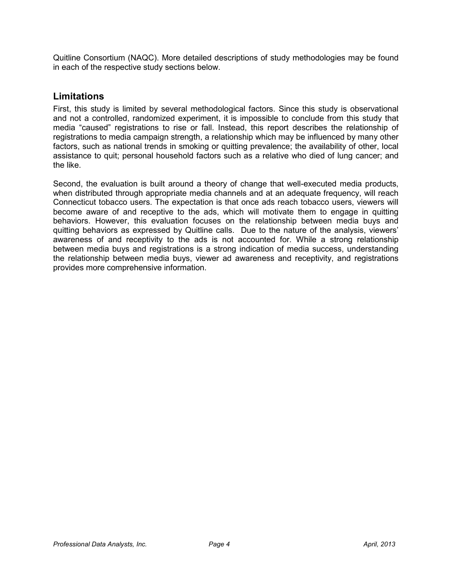Quitline Consortium (NAQC). More detailed descriptions of study methodologies may be found in each of the respective study sections below.

### **Limitations**

First, this study is limited by several methodological factors. Since this study is observational and not a controlled, randomized experiment, it is impossible to conclude from this study that media "caused" registrations to rise or fall. Instead, this report describes the relationship of registrations to media campaign strength, a relationship which may be influenced by many other factors, such as national trends in smoking or quitting prevalence; the availability of other, local assistance to quit; personal household factors such as a relative who died of lung cancer; and the like.

Second, the evaluation is built around a theory of change that well-executed media products, when distributed through appropriate media channels and at an adequate frequency, will reach Connecticut tobacco users. The expectation is that once ads reach tobacco users, viewers will become aware of and receptive to the ads, which will motivate them to engage in quitting behaviors. However, this evaluation focuses on the relationship between media buys and quitting behaviors as expressed by Quitline calls. Due to the nature of the analysis, viewers' awareness of and receptivity to the ads is not accounted for. While a strong relationship between media buys and registrations is a strong indication of media success, understanding the relationship between media buys, viewer ad awareness and receptivity, and registrations provides more comprehensive information.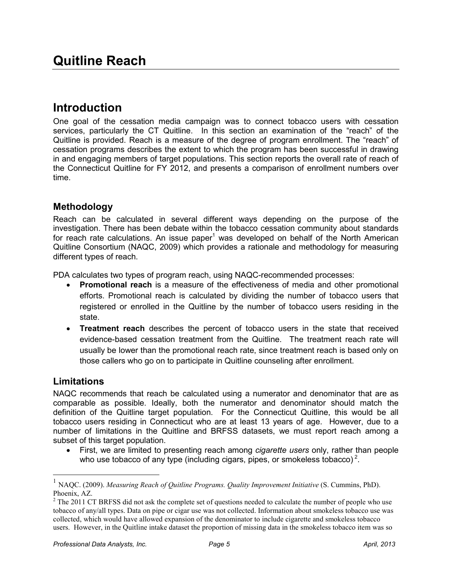### **Introduction**

One goal of the cessation media campaign was to connect tobacco users with cessation services, particularly the CT Quitline. In this section an examination of the "reach" of the Quitline is provided. Reach is a measure of the degree of program enrollment. The "reach" of cessation programs describes the extent to which the program has been successful in drawing in and engaging members of target populations. This section reports the overall rate of reach of the Connecticut Quitline for FY 2012, and presents a comparison of enrollment numbers over time.

### **Methodology**

Reach can be calculated in several different ways depending on the purpose of the investigation. There has been debate within the tobacco cessation community about standards for reach rate calculations. An issue paper<sup>1</sup> was developed on behalf of the North American Quitline Consortium (NAQC, 2009) which provides a rationale and methodology for measuring different types of reach.

PDA calculates two types of program reach, using NAQC-recommended processes:

- **Promotional reach** is a measure of the effectiveness of media and other promotional efforts. Promotional reach is calculated by dividing the number of tobacco users that registered or enrolled in the Quitline by the number of tobacco users residing in the state.
- **Treatment reach** describes the percent of tobacco users in the state that received evidence-based cessation treatment from the Quitline. The treatment reach rate will usually be lower than the promotional reach rate, since treatment reach is based only on those callers who go on to participate in Quitline counseling after enrollment.

### **Limitations**

-

NAQC recommends that reach be calculated using a numerator and denominator that are as comparable as possible. Ideally, both the numerator and denominator should match the definition of the Quitline target population. For the Connecticut Quitline, this would be all tobacco users residing in Connecticut who are at least 13 years of age. However, due to a number of limitations in the Quitline and BRFSS datasets, we must report reach among a subset of this target population.

• First, we are limited to presenting reach among *cigarette users* only, rather than people who use tobacco of any type (including cigars, pipes, or smokeless tobacco)<sup>2</sup>.

<sup>&</sup>lt;sup>1</sup> NAQC. (2009). *Measuring Reach of Quitline Programs. Quality Improvement Initiative* (S. Cummins, PhD). Phoenix, AZ.

 $2^2$  The 2011 CT BRFSS did not ask the complete set of questions needed to calculate the number of people who use tobacco of any/all types. Data on pipe or cigar use was not collected. Information about smokeless tobacco use was collected, which would have allowed expansion of the denominator to include cigarette and smokeless tobacco users. However, in the Quitline intake dataset the proportion of missing data in the smokeless tobacco item was so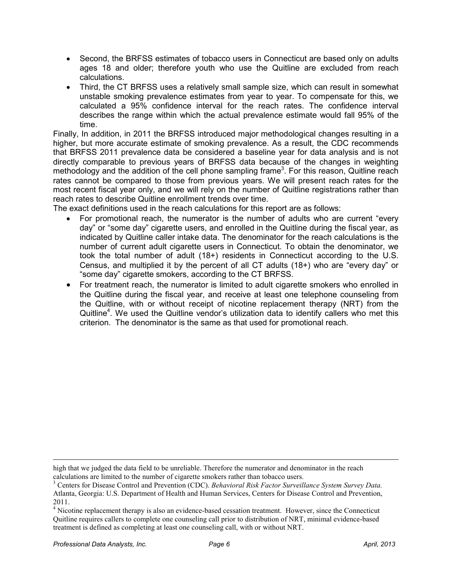- Second, the BRFSS estimates of tobacco users in Connecticut are based only on adults ages 18 and older; therefore youth who use the Quitline are excluded from reach calculations.
- Third, the CT BRFSS uses a relatively small sample size, which can result in somewhat unstable smoking prevalence estimates from year to year. To compensate for this, we calculated a 95% confidence interval for the reach rates. The confidence interval describes the range within which the actual prevalence estimate would fall 95% of the time.

Finally, In addition, in 2011 the BRFSS introduced major methodological changes resulting in a higher, but more accurate estimate of smoking prevalence. As a result, the CDC recommends that BRFSS 2011 prevalence data be considered a baseline year for data analysis and is not directly comparable to previous years of BRFSS data because of the changes in weighting methodology and the addition of the cell phone sampling frame<sup>3</sup>. For this reason, Quitline reach rates cannot be compared to those from previous years. We will present reach rates for the most recent fiscal year only, and we will rely on the number of Quitline registrations rather than reach rates to describe Quitline enrollment trends over time.

The exact definitions used in the reach calculations for this report are as follows:

- For promotional reach, the numerator is the number of adults who are current "every day" or "some day" cigarette users, and enrolled in the Quitline during the fiscal year, as indicated by Quitline caller intake data. The denominator for the reach calculations is the number of current adult cigarette users in Connecticut. To obtain the denominator, we took the total number of adult (18+) residents in Connecticut according to the U.S. Census, and multiplied it by the percent of all CT adults (18+) who are "every day" or "some day" cigarette smokers, according to the CT BRFSS.
- For treatment reach, the numerator is limited to adult cigarette smokers who enrolled in the Quitline during the fiscal year, and receive at least one telephone counseling from the Quitline, with or without receipt of nicotine replacement therapy (NRT) from the Quitline<sup>4</sup>. We used the Quitline vendor's utilization data to identify callers who met this criterion. The denominator is the same as that used for promotional reach.

 $\overline{a}$ high that we judged the data field to be unreliable. Therefore the numerator and denominator in the reach calculations are limited to the number of cigarette smokers rather than tobacco users.

<sup>3</sup> Centers for Disease Control and Prevention (CDC). *Behavioral Risk Factor Surveillance System Survey Data.* Atlanta, Georgia: U.S. Department of Health and Human Services, Centers for Disease Control and Prevention, 2011.

<sup>&</sup>lt;sup>4</sup> Nicotine replacement therapy is also an evidence-based cessation treatment. However, since the Connecticut Quitline requires callers to complete one counseling call prior to distribution of NRT, minimal evidence-based treatment is defined as completing at least one counseling call, with or without NRT.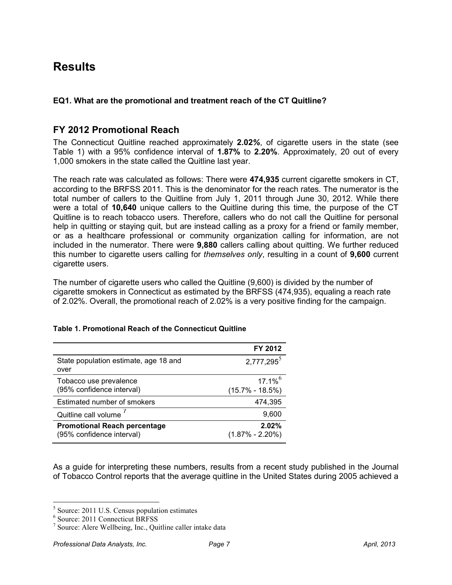### **Results**

### **EQ1. What are the promotional and treatment reach of the CT Quitline?**

### **FY 2012 Promotional Reach**

The Connecticut Quitline reached approximately **2.02***%*, of cigarette users in the state (see Table 1) with a 95% confidence interval of **1.87%** to **2.20%**. Approximately, 20 out of every 1,000 smokers in the state called the Quitline last year.

The reach rate was calculated as follows: There were **474,935** current cigarette smokers in CT, according to the BRFSS 2011. This is the denominator for the reach rates. The numerator is the total number of callers to the Quitline from July 1, 2011 through June 30, 2012. While there were a total of **10,640** unique callers to the Quitline during this time, the purpose of the CT Quitline is to reach tobacco users. Therefore, callers who do not call the Quitline for personal help in quitting or staying quit, but are instead calling as a proxy for a friend or family member, or as a healthcare professional or community organization calling for information, are not included in the numerator. There were **9,880** callers calling about quitting. We further reduced this number to cigarette users calling for *themselves only*, resulting in a count of **9,600** current cigarette users.

The number of cigarette users who called the Quitline (9,600) is divided by the number of cigarette smokers in Connecticut as estimated by the BRFSS (474,935), equaling a reach rate of 2.02%. Overall, the promotional reach of 2.02% is a very positive finding for the campaign.

|                                                                  | FY 2012                                      |
|------------------------------------------------------------------|----------------------------------------------|
| State population estimate, age 18 and<br>over                    | 2,777,295 <sup>5</sup>                       |
| Tobacco use prevalence<br>(95% confidence interval)              | $17.1\%$ <sup>6</sup><br>$(15.7\% - 18.5\%)$ |
| Estimated number of smokers                                      | 474,395                                      |
| Quitline call volume                                             | 9,600                                        |
| <b>Promotional Reach percentage</b><br>(95% confidence interval) | 2.02%<br>$(1.87\% - 2.20\%)$                 |

#### **Table 1. Promotional Reach of the Connecticut Quitline**

As a guide for interpreting these numbers, results from a recent study published in the Journal of Tobacco Control reports that the average quitline in the United States during 2005 achieved a

 5 Source: 2011 U.S. Census population estimates

<sup>6</sup> Source: 2011 Connecticut BRFSS

<sup>&</sup>lt;sup>7</sup> Source: Alere Wellbeing, Inc., Quitline caller intake data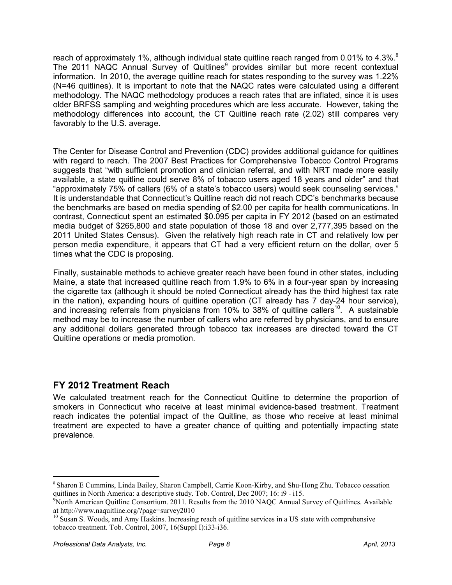reach of approximately 1%, although individual state quitline reach ranged from 0.01% to 4.3%.<sup>8</sup> The 2011 NAQC Annual Survey of Quitlines<sup>9</sup> provides similar but more recent contextual information. In 2010, the average quitline reach for states responding to the survey was 1.22% (N=46 quitlines). It is important to note that the NAQC rates were calculated using a different methodology. The NAQC methodology produces a reach rates that are inflated, since it is uses older BRFSS sampling and weighting procedures which are less accurate. However, taking the methodology differences into account, the CT Quitline reach rate (2.02) still compares very favorably to the U.S. average.

The Center for Disease Control and Prevention (CDC) provides additional guidance for quitlines with regard to reach. The 2007 Best Practices for Comprehensive Tobacco Control Programs suggests that "with sufficient promotion and clinician referral, and with NRT made more easily available, a state quitline could serve 8% of tobacco users aged 18 years and older" and that "approximately 75% of callers (6% of a state's tobacco users) would seek counseling services." It is understandable that Connecticut's Quitline reach did not reach CDC's benchmarks because the benchmarks are based on media spending of \$2.00 per capita for health communications. In contrast, Connecticut spent an estimated \$0.095 per capita in FY 2012 (based on an estimated media budget of \$265,800 and state population of those 18 and over 2,777,395 based on the 2011 United States Census). Given the relatively high reach rate in CT and relatively low per person media expenditure, it appears that CT had a very efficient return on the dollar, over 5 times what the CDC is proposing.

Finally, sustainable methods to achieve greater reach have been found in other states, including Maine, a state that increased quitline reach from 1.9% to 6% in a four-year span by increasing the cigarette tax (although it should be noted Connecticut already has the third highest tax rate in the nation), expanding hours of quitline operation (CT already has 7 day-24 hour service), and increasing referrals from physicians from 10% to 38% of quitline callers<sup>10</sup>. A sustainable method may be to increase the number of callers who are referred by physicians, and to ensure any additional dollars generated through tobacco tax increases are directed toward the CT Quitline operations or media promotion.

### **FY 2012 Treatment Reach**

We calculated treatment reach for the Connecticut Quitline to determine the proportion of smokers in Connecticut who receive at least minimal evidence-based treatment. Treatment reach indicates the potential impact of the Quitline, as those who receive at least minimal treatment are expected to have a greater chance of quitting and potentially impacting state prevalence.

-

<sup>8</sup>Sharon E Cummins, Linda Bailey, Sharon Campbell, Carrie Koon-Kirby, and Shu-Hong Zhu. Tobacco cessation quitlines in North America: a descriptive study. Tob. Control, Dec 2007; 16: i9 - i15.

<sup>&</sup>lt;sup>9</sup>North American Quitline Consortium. 2011. Results from the 2010 NAQC Annual Survey of Quitlines. Available at http://www.naquitline.org/?page=survey2010

<sup>&</sup>lt;sup>10</sup> Susan S. Woods, and Amy Haskins. Increasing reach of quitline services in a US state with comprehensive tobacco treatment. Tob. Control, 2007, 16(Suppl I):i33-i36.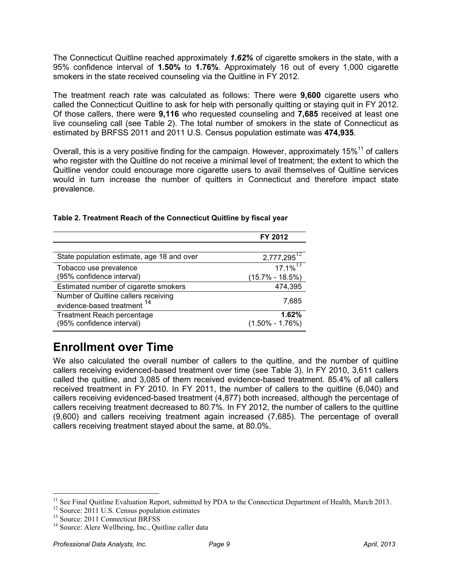The Connecticut Quitline reached approximately *1.62%* of cigarette smokers in the state, with a 95% confidence interval of **1.50%** to **1.76%**. Approximately 16 out of every 1,000 cigarette smokers in the state received counseling via the Quitline in FY 2012.

The treatment reach rate was calculated as follows: There were **9,600** cigarette users who called the Connecticut Quitline to ask for help with personally quitting or staying quit in FY 2012. Of those callers, there were **9,116** who requested counseling and **7,685** received at least one live counseling call (see Table 2). The total number of smokers in the state of Connecticut as estimated by BRFSS 2011 and 2011 U.S. Census population estimate was **474,935**.

Overall, this is a very positive finding for the campaign. However, approximately 15%<sup>11</sup> of callers who register with the Quitline do not receive a minimal level of treatment; the extent to which the Quitline vendor could encourage more cigarette users to avail themselves of Quitline services would in turn increase the number of quitters in Connecticut and therefore impact state prevalence.

|                                            | FY 2012             |
|--------------------------------------------|---------------------|
|                                            |                     |
| State population estimate, age 18 and over | $2,777,295^{12}$    |
| Tobacco use prevalence                     | $17.1\%$            |
| (95% confidence interval)                  | $(15.7\% - 18.5\%)$ |
| Estimated number of cigarette smokers      | 474,395             |
| Number of Quitline callers receiving       |                     |
| evidence-based treatment <sup>14</sup>     | 7,685               |
| <b>Treatment Reach percentage</b>          | 1.62%               |
| (95% confidence interval)                  | $(1.50\% - 1.76\%)$ |

### **Table 2. Treatment Reach of the Connecticut Quitline by fiscal year**

### **Enrollment over Time**

We also calculated the overall number of callers to the quitiine, and the number of quitiine callers receiving evidenced-based treatment over time (see Table 3). In FY 2010, 3,611 callers called the quitline, and 3,085 of them received evidence-based treatment. 85.4% of all callers received treatment in FY 2010. In FY 2011, the number of callers to the quitline (6,040) and callers receiving evidenced-based treatment (4,877) both increased, although the percentage of callers receiving treatment decreased to 80.7%. In FY 2012, the number of callers to the quitline (9,600) and callers receiving treatment again increased (7,685). The percentage of overall callers receiving treatment stayed about the same, at 80.0%.

-

<sup>&</sup>lt;sup>11</sup> See Final Quitline Evaluation Report, submitted by PDA to the Connecticut Department of Health, March 2013.

<sup>&</sup>lt;sup>12</sup> Source: 2011 U.S. Census population estimates

 $13$  Source: 2011 Connecticut BRFSS

<sup>&</sup>lt;sup>14</sup> Source: Alere Wellbeing, Inc., Quitline caller data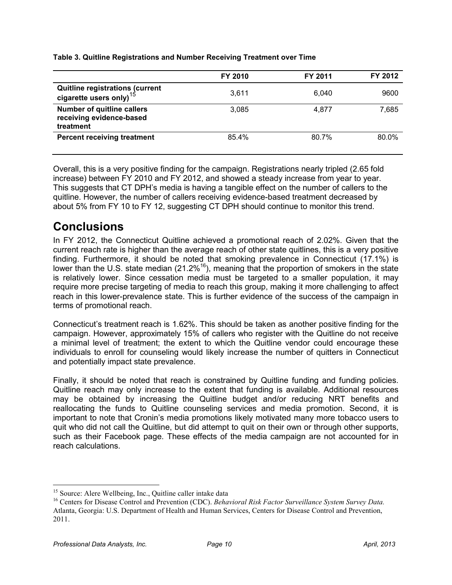|                                                                            | <b>FY 2010</b> | FY 2011 | FY 2012 |
|----------------------------------------------------------------------------|----------------|---------|---------|
| Quitline registrations (current<br>cigarette users only) <sup>15</sup>     | 3.611          | 6.040   | 9600    |
| <b>Number of quitline callers</b><br>receiving evidence-based<br>treatment | 3,085          | 4.877   | 7,685   |
| <b>Percent receiving treatment</b>                                         | 85.4%          | 80.7%   | 80.0%   |

**Table 3. Quitline Registrations and Number Receiving Treatment over Time** 

Overall, this is a very positive finding for the campaign. Registrations nearly tripled (2.65 fold increase) between FY 2010 and FY 2012, and showed a steady increase from year to year. This suggests that CT DPH's media is having a tangible effect on the number of callers to the quitline. However, the number of callers receiving evidence-based treatment decreased by about 5% from FY 10 to FY 12, suggesting CT DPH should continue to monitor this trend.

### **Conclusions**

In FY 2012, the Connecticut Quitline achieved a promotional reach of 2.02%. Given that the current reach rate is higher than the average reach of other state quitlines, this is a very positive finding. Furthermore, it should be noted that smoking prevalence in Connecticut (17.1%) is lower than the U.S. state median  $(21.2\%^{16})$ , meaning that the proportion of smokers in the state is relatively lower. Since cessation media must be targeted to a smaller population, it may require more precise targeting of media to reach this group, making it more challenging to affect reach in this lower-prevalence state. This is further evidence of the success of the campaign in terms of promotional reach.

Connecticut's treatment reach is 1.62%. This should be taken as another positive finding for the campaign. However, approximately 15% of callers who register with the Quitline do not receive a minimal level of treatment; the extent to which the Quitline vendor could encourage these individuals to enroll for counseling would likely increase the number of quitters in Connecticut and potentially impact state prevalence.

Finally, it should be noted that reach is constrained by Quitline funding and funding policies. Quitline reach may only increase to the extent that funding is available. Additional resources may be obtained by increasing the Quitline budget and/or reducing NRT benefits and reallocating the funds to Quitline counseling services and media promotion. Second, it is important to note that Cronin's media promotions likely motivated many more tobacco users to quit who did not call the Quitline, but did attempt to quit on their own or through other supports, such as their Facebook page. These effects of the media campaign are not accounted for in reach calculations.

<sup>-</sup><sup>15</sup> Source: Alere Wellbeing, Inc., Quitline caller intake data

<sup>16</sup> Centers for Disease Control and Prevention (CDC). *Behavioral Risk Factor Surveillance System Survey Data.* Atlanta, Georgia: U.S. Department of Health and Human Services, Centers for Disease Control and Prevention, 2011.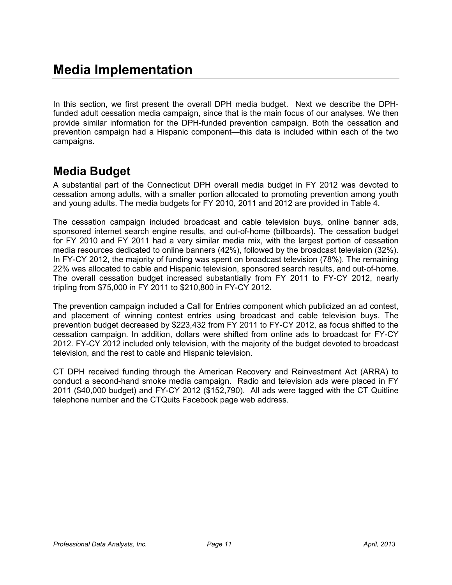In this section, we first present the overall DPH media budget. Next we describe the DPHfunded adult cessation media campaign, since that is the main focus of our analyses. We then provide similar information for the DPH-funded prevention campaign. Both the cessation and prevention campaign had a Hispanic component—this data is included within each of the two campaigns.

### **Media Budget**

A substantial part of the Connecticut DPH overall media budget in FY 2012 was devoted to cessation among adults, with a smaller portion allocated to promoting prevention among youth and young adults. The media budgets for FY 2010, 2011 and 2012 are provided in Table 4.

The cessation campaign included broadcast and cable television buys, online banner ads, sponsored internet search engine results, and out-of-home (billboards). The cessation budget for FY 2010 and FY 2011 had a very similar media mix, with the largest portion of cessation media resources dedicated to online banners (42%), followed by the broadcast television (32%). In FY-CY 2012, the majority of funding was spent on broadcast television (78%). The remaining 22% was allocated to cable and Hispanic television, sponsored search results, and out-of-home. The overall cessation budget increased substantially from FY 2011 to FY-CY 2012, nearly tripling from \$75,000 in FY 2011 to \$210,800 in FY-CY 2012.

The prevention campaign included a Call for Entries component which publicized an ad contest, and placement of winning contest entries using broadcast and cable television buys. The prevention budget decreased by \$223,432 from FY 2011 to FY-CY 2012, as focus shifted to the cessation campaign. In addition, dollars were shifted from online ads to broadcast for FY-CY 2012. FY-CY 2012 included only television, with the majority of the budget devoted to broadcast television, and the rest to cable and Hispanic television.

CT DPH received funding through the American Recovery and Reinvestment Act (ARRA) to conduct a second-hand smoke media campaign. Radio and television ads were placed in FY 2011 (\$40,000 budget) and FY-CY 2012 (\$152,790). All ads were tagged with the CT Quitline telephone number and the CTQuits Facebook page web address.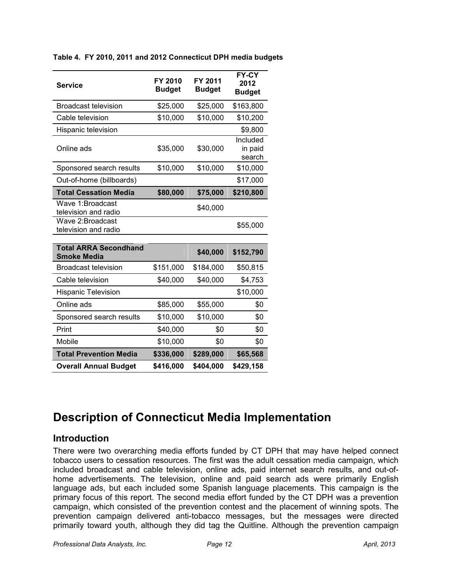**Table 4. FY 2010, 2011 and 2012 Connecticut DPH media budgets** 

| <b>Service</b>                                     | FY 2010<br><b>Budget</b> | FY 2011<br><b>Budget</b> | FY-CY<br>2012<br><b>Budget</b> |
|----------------------------------------------------|--------------------------|--------------------------|--------------------------------|
| <b>Broadcast television</b>                        | \$25,000                 | \$25,000                 | \$163,800                      |
| Cable television                                   | \$10,000                 | \$10,000                 | \$10,200                       |
| Hispanic television                                |                          |                          | \$9,800                        |
| Online ads                                         | \$35,000                 | \$30,000                 | Included<br>in paid<br>search  |
| Sponsored search results                           | \$10,000                 | \$10,000                 | \$10,000                       |
| Out-of-home (billboards)                           |                          |                          | \$17,000                       |
| <b>Total Cessation Media</b>                       | \$80,000                 | \$75,000                 | \$210,800                      |
| Wave 1: Broadcast<br>television and radio          |                          | \$40,000                 |                                |
| Wave 2: Broadcast<br>television and radio          |                          |                          | \$55,000                       |
| <b>Total ARRA Secondhand</b><br><b>Smoke Media</b> |                          | \$40,000                 | \$152,790                      |
| <b>Broadcast television</b>                        | \$151,000                | \$184,000                | \$50,815                       |
| Cable television                                   | \$40,000                 | \$40,000                 | \$4,753                        |
| <b>Hispanic Television</b>                         |                          |                          | \$10,000                       |
| Online ads                                         | \$85,000                 | \$55,000                 | \$0                            |
| Sponsored search results                           | \$10,000                 | \$10,000                 | \$0                            |
| Print                                              | \$40,000                 | \$0                      | \$0                            |
| <b>Mobile</b>                                      | \$10,000                 | \$0                      | \$0                            |
| <b>Total Prevention Media</b>                      | \$336,000                | \$289,000                | \$65,568                       |
| <b>Overall Annual Budget</b>                       | \$416,000                | \$404,000                | \$429,158                      |

### **Description of Connecticut Media Implementation**

### **Introduction**

There were two overarching media efforts funded by CT DPH that may have helped connect tobacco users to cessation resources. The first was the adult cessation media campaign, which included broadcast and cable television, online ads, paid internet search results, and out-ofhome advertisements. The television, online and paid search ads were primarily English language ads, but each included some Spanish language placements. This campaign is the primary focus of this report. The second media effort funded by the CT DPH was a prevention campaign, which consisted of the prevention contest and the placement of winning spots. The prevention campaign delivered anti-tobacco messages, but the messages were directed primarily toward youth, although they did tag the Quitline. Although the prevention campaign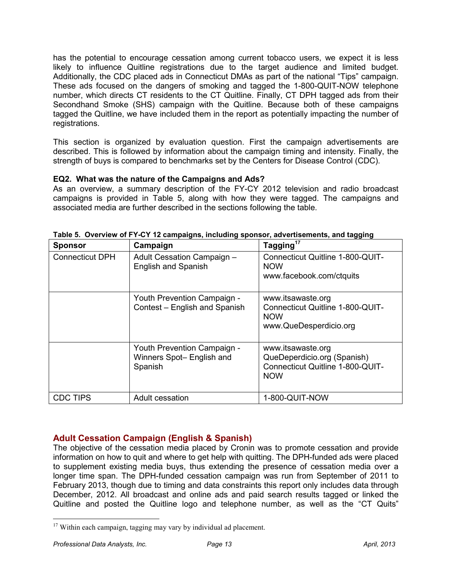has the potential to encourage cessation among current tobacco users, we expect it is less likely to influence Quitline registrations due to the target audience and limited budget. Additionally, the CDC placed ads in Connecticut DMAs as part of the national "Tips" campaign. These ads focused on the dangers of smoking and tagged the 1-800-QUIT-NOW telephone number, which directs CT residents to the CT Quitline. Finally, CT DPH tagged ads from their Secondhand Smoke (SHS) campaign with the Quitline. Because both of these campaigns tagged the Quitline, we have included them in the report as potentially impacting the number of registrations.

This section is organized by evaluation question. First the campaign advertisements are described. This is followed by information about the campaign timing and intensity. Finally, the strength of buys is compared to benchmarks set by the Centers for Disease Control (CDC).

### **EQ2. What was the nature of the Campaigns and Ads?**

As an overview, a summary description of the FY-CY 2012 television and radio broadcast campaigns is provided in Table 5, along with how they were tagged. The campaigns and associated media are further described in the sections following the table.

| <b>Sponsor</b>         | Campaign                                                            | Tagging <sup>17</sup>                                                                              |
|------------------------|---------------------------------------------------------------------|----------------------------------------------------------------------------------------------------|
| <b>Connecticut DPH</b> | Adult Cessation Campaign -<br><b>English and Spanish</b>            | Connecticut Quitline 1-800-QUIT-<br><b>NOW</b><br>www.facebook.com/ctquits                         |
|                        | Youth Prevention Campaign -<br>Contest - English and Spanish        | www.itsawaste.org<br>Connecticut Quitline 1-800-QUIT-<br><b>NOW</b><br>www.QueDesperdicio.org      |
|                        | Youth Prevention Campaign -<br>Winners Spot- English and<br>Spanish | www.itsawaste.org<br>QueDeperdicio.org (Spanish)<br>Connecticut Quitline 1-800-QUIT-<br><b>NOW</b> |
| <b>CDC TIPS</b>        | Adult cessation                                                     | 1-800-QUIT-NOW                                                                                     |

|  | Table 5. Overview of FY-CY 12 campaigns, including sponsor, advertisements, and tagging |  |
|--|-----------------------------------------------------------------------------------------|--|
|--|-----------------------------------------------------------------------------------------|--|

### **Adult Cessation Campaign (English & Spanish)**

The objective of the cessation media placed by Cronin was to promote cessation and provide information on how to quit and where to get help with quitting. The DPH-funded ads were placed to supplement existing media buys, thus extending the presence of cessation media over a longer time span. The DPH-funded cessation campaign was run from September of 2011 to February 2013, though due to timing and data constraints this report only includes data through December, 2012. All broadcast and online ads and paid search results tagged or linked the Quitline and posted the Quitline logo and telephone number, as well as the "CT Quits"

<u>.</u>

<sup>&</sup>lt;sup>17</sup> Within each campaign, tagging may vary by individual ad placement.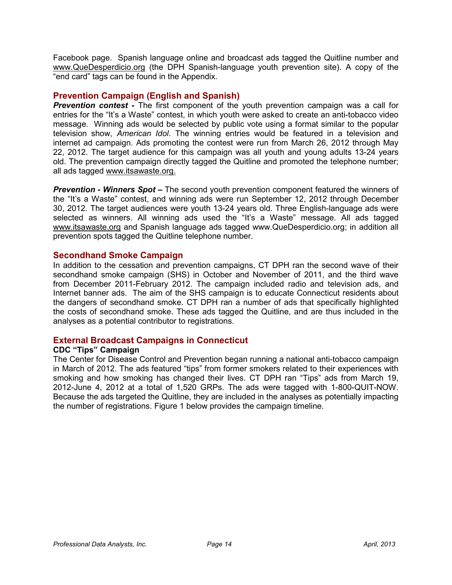Facebook page. Spanish language online and broadcast ads tagged the Quitline number and www.QueDesperdicio.org (the DPH Spanish-language youth prevention site). A copy of the "end card" tags can be found in the Appendix.

### **Prevention Campaign (English and Spanish)**

*Prevention contest -* The first component of the youth prevention campaign was a call for entries for the "It's a Waste" contest, in which youth were asked to create an anti-tobacco video message. Winning ads would be selected by public vote using a format similar to the popular television show, *American Idol*. The winning entries would be featured in a television and internet ad campaign. Ads promoting the contest were run from March 26, 2012 through May 22, 2012. The target audience for this campaign was all youth and young adults 13-24 years old. The prevention campaign directly tagged the Quitline and promoted the telephone number; all ads tagged www.itsawaste.org.

*Prevention - Winners Spot –* The second youth prevention component featured the winners of the "It's a Waste" contest, and winning ads were run September 12, 2012 through December 30, 2012. The target audiences were youth 13-24 years old. Three English-language ads were selected as winners. All winning ads used the "It's a Waste" message. All ads tagged www.itsawaste.org and Spanish language ads tagged www.QueDesperdicio.org; in addition all prevention spots tagged the Quitline telephone number.

### **Secondhand Smoke Campaign**

In addition to the cessation and prevention campaigns, CT DPH ran the second wave of their secondhand smoke campaign (SHS) in October and November of 2011, and the third wave from December 2011-February 2012. The campaign included radio and television ads, and Internet banner ads. The aim of the SHS campaign is to educate Connecticut residents about the dangers of secondhand smoke. CT DPH ran a number of ads that specifically highlighted the costs of secondhand smoke. These ads tagged the Quitline, and are thus included in the analyses as a potential contributor to registrations.

### **External Broadcast Campaigns in Connecticut**

### **CDC "Tips" Campaign**

The Center for Disease Control and Prevention began running a national anti-tobacco campaign in March of 2012. The ads featured "tips" from former smokers related to their experiences with smoking and how smoking has changed their lives. CT DPH ran "Tips" ads from March 19, 2012-June 4, 2012 at a total of 1,520 GRPs. The ads were tagged with 1-800-QUIT-NOW. Because the ads targeted the Quitline, they are included in the analyses as potentially impacting the number of registrations. Figure 1 below provides the campaign timeline.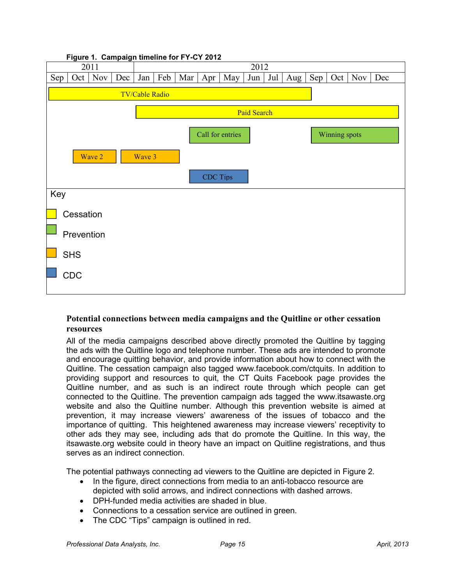

### **Potential connections between media campaigns and the Quitline or other cessation resources**

All of the media campaigns described above directly promoted the Quitline by tagging the ads with the Quitline logo and telephone number. These ads are intended to promote and encourage quitting behavior, and provide information about how to connect with the Quitline. The cessation campaign also tagged www.facebook.com/ctquits. In addition to providing support and resources to quit, the CT Quits Facebook page provides the Quitline number, and as such is an indirect route through which people can get connected to the Quitline. The prevention campaign ads tagged the www.itsawaste.org website and also the Quitline number. Although this prevention website is aimed at prevention, it may increase viewers' awareness of the issues of tobacco and the importance of quitting. This heightened awareness may increase viewers' receptivity to other ads they may see, including ads that do promote the Quitline. In this way, the itsawaste.org website could in theory have an impact on Quitline registrations, and thus serves as an indirect connection.

The potential pathways connecting ad viewers to the Quitline are depicted in Figure 2.

- In the figure, direct connections from media to an anti-tobacco resource are depicted with solid arrows, and indirect connections with dashed arrows.
- DPH-funded media activities are shaded in blue.
- Connections to a cessation service are outlined in green.
- The CDC "Tips" campaign is outlined in red.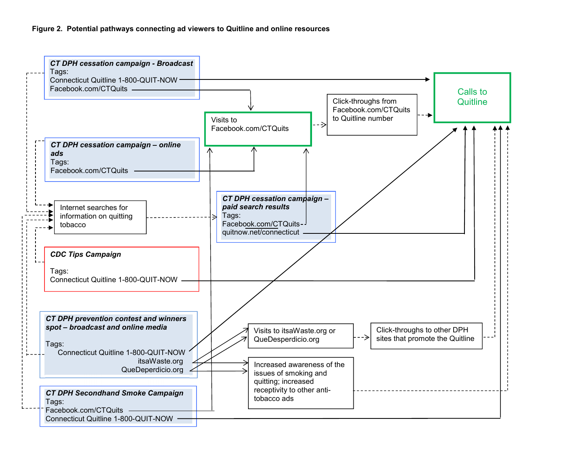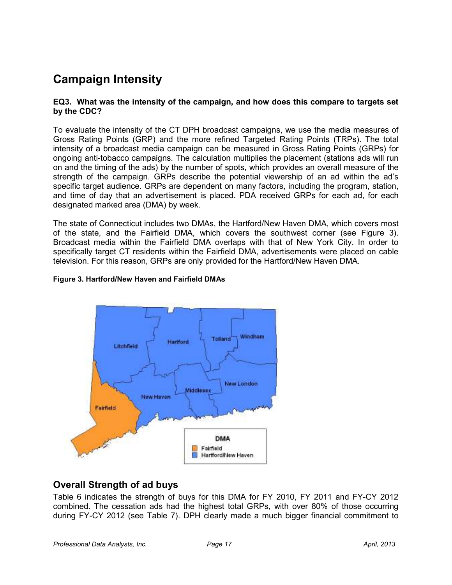### **Campaign Intensity**

#### **EQ3. What was the intensity of the campaign, and how does this compare to targets set by the CDC?**

To evaluate the intensity of the CT DPH broadcast campaigns, we use the media measures of Gross Rating Points (GRP) and the more refined Targeted Rating Points (TRPs). The total intensity of a broadcast media campaign can be measured in Gross Rating Points (GRPs) for ongoing anti-tobacco campaigns. The calculation multiplies the placement (stations ads will run on and the timing of the ads) by the number of spots, which provides an overall measure of the strength of the campaign. GRPs describe the potential viewership of an ad within the ad's specific target audience. GRPs are dependent on many factors, including the program, station, and time of day that an advertisement is placed. PDA received GRPs for each ad, for each designated marked area (DMA) by week.

The state of Connecticut includes two DMAs, the Hartford/New Haven DMA, which covers most of the state, and the Fairfield DMA, which covers the southwest corner (see Figure 3). Broadcast media within the Fairfield DMA overlaps with that of New York City. In order to specifically target CT residents within the Fairfield DMA, advertisements were placed on cable television. For this reason, GRPs are only provided for the Hartford/New Haven DMA.

#### **Figure 3. Hartford/New Haven and Fairfield DMAs**



### **Overall Strength of ad buys**

Table 6 indicates the strength of buys for this DMA for FY 2010, FY 2011 and FY-CY 2012 combined. The cessation ads had the highest total GRPs, with over 80% of those occurring during FY-CY 2012 (see Table 7). DPH clearly made a much bigger financial commitment to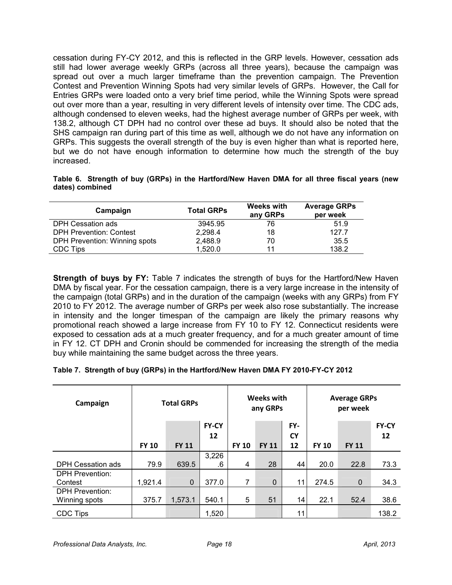cessation during FY-CY 2012, and this is reflected in the GRP levels. However, cessation ads still had lower average weekly GRPs (across all three years), because the campaign was spread out over a much larger timeframe than the prevention campaign. The Prevention Contest and Prevention Winning Spots had very similar levels of GRPs. However, the Call for Entries GRPs were loaded onto a very brief time period, while the Winning Spots were spread out over more than a year, resulting in very different levels of intensity over time. The CDC ads, although condensed to eleven weeks, had the highest average number of GRPs per week, with 138.2, although CT DPH had no control over these ad buys. It should also be noted that the SHS campaign ran during part of this time as well, although we do not have any information on GRPs. This suggests the overall strength of the buy is even higher than what is reported here, but we do not have enough information to determine how much the strength of the buy increased.

|                 |  |  | Table 6. Strength of buy (GRPs) in the Hartford/New Haven DMA for all three fiscal years (new |  |  |  |  |
|-----------------|--|--|-----------------------------------------------------------------------------------------------|--|--|--|--|
| dates) combined |  |  |                                                                                               |  |  |  |  |

| Campaign                       | <b>Total GRPs</b> | <b>Weeks with</b><br>any GRPs | <b>Average GRPs</b><br>per week |
|--------------------------------|-------------------|-------------------------------|---------------------------------|
| DPH Cessation ads              | 3945.95           | 76                            | 51.9                            |
| <b>DPH Prevention: Contest</b> | 2,298.4           | 18                            | 127.7                           |
| DPH Prevention: Winning spots  | 2,488.9           | 70                            | 35.5                            |
| CDC Tips                       | 1.520.0           | 11                            | 138.2                           |

**Strength of buys by FY:** Table 7 indicates the strength of buys for the Hartford/New Haven DMA by fiscal year. For the cessation campaign, there is a very large increase in the intensity of the campaign (total GRPs) and in the duration of the campaign (weeks with any GRPs) from FY 2010 to FY 2012. The average number of GRPs per week also rose substantially. The increase in intensity and the longer timespan of the campaign are likely the primary reasons why promotional reach showed a large increase from FY 10 to FY 12. Connecticut residents were exposed to cessation ads at a much greater frequency, and for a much greater amount of time in FY 12. CT DPH and Cronin should be commended for increasing the strength of the media buy while maintaining the same budget across the three years.

| Table 7. Strength of buy (GRPs) in the Hartford/New Haven DMA FY 2010-FY-CY 2012 |
|----------------------------------------------------------------------------------|
|----------------------------------------------------------------------------------|

| Campaign                                |              | <b>Total GRPs</b> |                    |              | <b>Weeks with</b><br>any GRPs |                  |              | <b>Average GRPs</b><br>per week |                    |
|-----------------------------------------|--------------|-------------------|--------------------|--------------|-------------------------------|------------------|--------------|---------------------------------|--------------------|
|                                         |              |                   | <b>FY-CY</b><br>12 |              |                               | FY-<br><b>CY</b> |              |                                 | <b>FY-CY</b><br>12 |
|                                         | <b>FY 10</b> | <b>FY 11</b>      |                    | <b>FY 10</b> | <b>FY 11</b>                  | 12               | <b>FY 10</b> | <b>FY 11</b>                    |                    |
| DPH Cessation ads                       | 79.9         | 639.5             | 3,226<br>.6        | 4            | 28                            | 44               | 20.0         | 22.8                            | 73.3               |
| <b>DPH Prevention:</b><br>Contest       | 1,921.4      | $\mathbf 0$       | 377.0              | 7            | $\mathbf 0$                   | 11               | 274.5        | $\mathbf 0$                     | 34.3               |
| <b>DPH Prevention:</b><br>Winning spots | 375.7        | 1,573.1           | 540.1              | 5            | 51                            | 14               | 22.1         | 52.4                            | 38.6               |
| <b>CDC Tips</b>                         |              |                   | 1,520              |              |                               | 11               |              |                                 | 138.2              |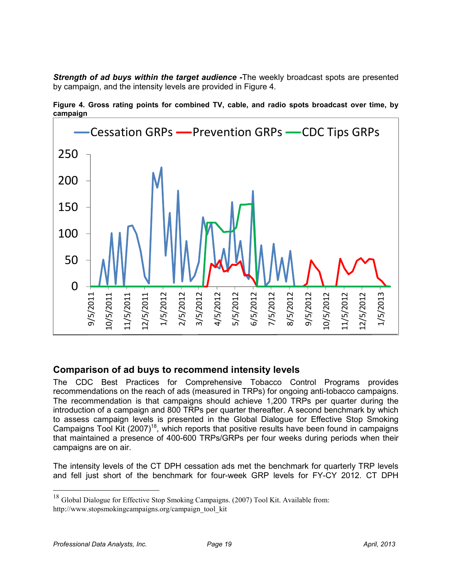*Strength of ad buys within the target audience -*The weekly broadcast spots are presented by campaign, and the intensity levels are provided in Figure 4.



**Figure 4. Gross rating points for combined TV, cable, and radio spots broadcast over time, by campaign** 

### **Comparison of ad buys to recommend intensity levels**

The CDC Best Practices for Comprehensive Tobacco Control Programs provides recommendations on the reach of ads (measured in TRPs) for ongoing anti-tobacco campaigns. The recommendation is that campaigns should achieve 1,200 TRPs per quarter during the introduction of a campaign and 800 TRPs per quarter thereafter. A second benchmark by which to assess campaign levels is presented in the Global Dialogue for Effective Stop Smoking Campaigns Tool Kit (2007)<sup>18</sup>, which reports that positive results have been found in campaigns that maintained a presence of 400-600 TRPs/GRPs per four weeks during periods when their campaigns are on air.

The intensity levels of the CT DPH cessation ads met the benchmark for quarterly TRP levels and fell just short of the benchmark for four-week GRP levels for FY-CY 2012. CT DPH

-

<sup>&</sup>lt;sup>18</sup> Global Dialogue for Effective Stop Smoking Campaigns. (2007) Tool Kit. Available from: http://www.stopsmokingcampaigns.org/campaign\_tool\_kit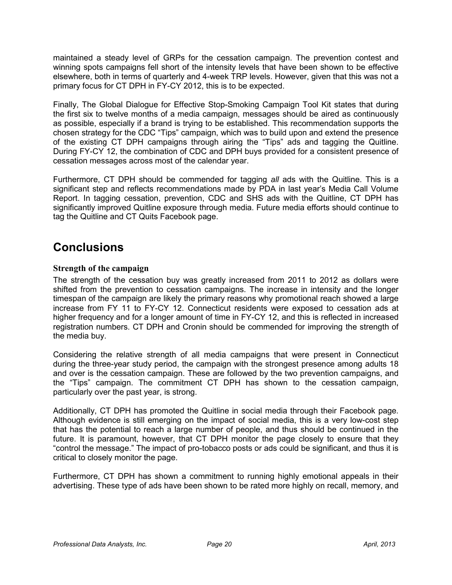maintained a steady level of GRPs for the cessation campaign. The prevention contest and winning spots campaigns fell short of the intensity levels that have been shown to be effective elsewhere, both in terms of quarterly and 4-week TRP levels. However, given that this was not a primary focus for CT DPH in FY-CY 2012, this is to be expected.

Finally, The Global Dialogue for Effective Stop-Smoking Campaign Tool Kit states that during the first six to twelve months of a media campaign, messages should be aired as continuously as possible, especially if a brand is trying to be established. This recommendation supports the chosen strategy for the CDC "Tips" campaign, which was to build upon and extend the presence of the existing CT DPH campaigns through airing the "Tips" ads and tagging the Quitline. During FY-CY 12, the combination of CDC and DPH buys provided for a consistent presence of cessation messages across most of the calendar year.

Furthermore, CT DPH should be commended for tagging *all* ads with the Quitline. This is a significant step and reflects recommendations made by PDA in last year's Media Call Volume Report. In tagging cessation, prevention, CDC and SHS ads with the Quitline, CT DPH has significantly improved Quitline exposure through media. Future media efforts should continue to tag the Quitline and CT Quits Facebook page.

### **Conclusions**

### **Strength of the campaign**

The strength of the cessation buy was greatly increased from 2011 to 2012 as dollars were shifted from the prevention to cessation campaigns. The increase in intensity and the longer timespan of the campaign are likely the primary reasons why promotional reach showed a large increase from FY 11 to FY-CY 12. Connecticut residents were exposed to cessation ads at higher frequency and for a longer amount of time in FY-CY 12, and this is reflected in increased registration numbers. CT DPH and Cronin should be commended for improving the strength of the media buy.

Considering the relative strength of all media campaigns that were present in Connecticut during the three-year study period, the campaign with the strongest presence among adults 18 and over is the cessation campaign. These are followed by the two prevention campaigns, and the "Tips" campaign. The commitment CT DPH has shown to the cessation campaign, particularly over the past year, is strong.

Additionally, CT DPH has promoted the Quitline in social media through their Facebook page. Although evidence is still emerging on the impact of social media, this is a very low-cost step that has the potential to reach a large number of people, and thus should be continued in the future. It is paramount, however, that CT DPH monitor the page closely to ensure that they "control the message." The impact of pro-tobacco posts or ads could be significant, and thus it is critical to closely monitor the page.

Furthermore, CT DPH has shown a commitment to running highly emotional appeals in their advertising. These type of ads have been shown to be rated more highly on recall, memory, and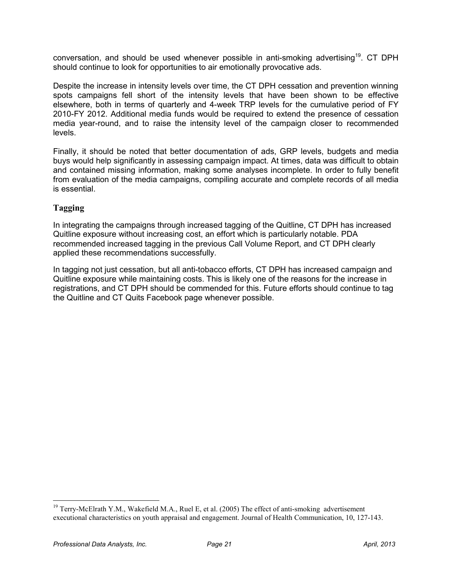conversation, and should be used whenever possible in anti-smoking advertising<sup>19</sup>. CT DPH should continue to look for opportunities to air emotionally provocative ads.

Despite the increase in intensity levels over time, the CT DPH cessation and prevention winning spots campaigns fell short of the intensity levels that have been shown to be effective elsewhere, both in terms of quarterly and 4-week TRP levels for the cumulative period of FY 2010-FY 2012. Additional media funds would be required to extend the presence of cessation media year-round, and to raise the intensity level of the campaign closer to recommended levels.

Finally, it should be noted that better documentation of ads, GRP levels, budgets and media buys would help significantly in assessing campaign impact. At times, data was difficult to obtain and contained missing information, making some analyses incomplete. In order to fully benefit from evaluation of the media campaigns, compiling accurate and complete records of all media is essential.

### **Tagging**

In integrating the campaigns through increased tagging of the Quitline, CT DPH has increased Quitline exposure without increasing cost, an effort which is particularly notable. PDA recommended increased tagging in the previous Call Volume Report, and CT DPH clearly applied these recommendations successfully.

In tagging not just cessation, but all anti-tobacco efforts, CT DPH has increased campaign and Quitline exposure while maintaining costs. This is likely one of the reasons for the increase in registrations, and CT DPH should be commended for this. Future efforts should continue to tag the Quitline and CT Quits Facebook page whenever possible.

<sup>-</sup><sup>19</sup> Terry-McElrath Y.M., Wakefield M.A., Ruel E, et al. (2005) The effect of anti-smoking advertisement executional characteristics on youth appraisal and engagement. Journal of Health Communication, 10, 127-143.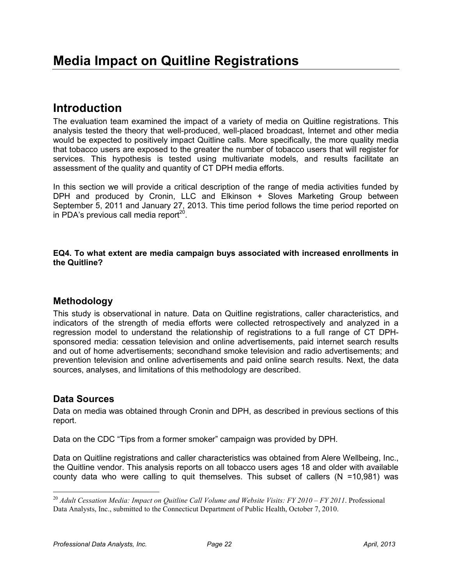### **Introduction**

The evaluation team examined the impact of a variety of media on Quitline registrations. This analysis tested the theory that well-produced, well-placed broadcast, Internet and other media would be expected to positively impact Quitline calls. More specifically, the more quality media that tobacco users are exposed to the greater the number of tobacco users that will register for services. This hypothesis is tested using multivariate models, and results facilitate an assessment of the quality and quantity of CT DPH media efforts.

In this section we will provide a critical description of the range of media activities funded by DPH and produced by Cronin, LLC and Elkinson + Sloves Marketing Group between September 5, 2011 and January 27, 2013. This time period follows the time period reported on in PDA's previous call media report $20$ .

#### **EQ4. To what extent are media campaign buys associated with increased enrollments in the Quitline?**

### **Methodology**

This study is observational in nature. Data on Quitline registrations, caller characteristics, and indicators of the strength of media efforts were collected retrospectively and analyzed in a regression model to understand the relationship of registrations to a full range of CT DPHsponsored media: cessation television and online advertisements, paid internet search results and out of home advertisements; secondhand smoke television and radio advertisements; and prevention television and online advertisements and paid online search results. Next, the data sources, analyses, and limitations of this methodology are described.

### **Data Sources**

-

Data on media was obtained through Cronin and DPH, as described in previous sections of this report.

Data on the CDC "Tips from a former smoker" campaign was provided by DPH.

Data on Quitline registrations and caller characteristics was obtained from Alere Wellbeing, Inc., the Quitline vendor. This analysis reports on all tobacco users ages 18 and older with available county data who were calling to quit themselves. This subset of callers  $(N = 10,981)$  was

<sup>20</sup> *Adult Cessation Media: Impact on Quitline Call Volume and Website Visits: FY 2010 – FY 2011*. Professional Data Analysts, Inc., submitted to the Connecticut Department of Public Health, October 7, 2010.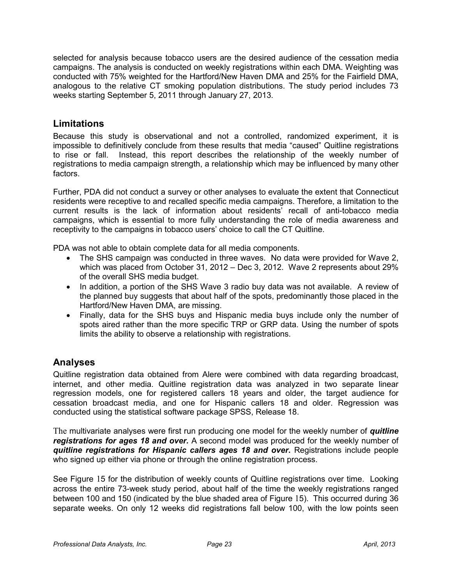selected for analysis because tobacco users are the desired audience of the cessation media campaigns. The analysis is conducted on weekly registrations within each DMA. Weighting was conducted with 75% weighted for the Hartford/New Haven DMA and 25% for the Fairfield DMA, analogous to the relative CT smoking population distributions. The study period includes 73 weeks starting September 5, 2011 through January 27, 2013.

### **Limitations**

Because this study is observational and not a controlled, randomized experiment, it is impossible to definitively conclude from these results that media "caused" Quitline registrations to rise or fall. Instead, this report describes the relationship of the weekly number of registrations to media campaign strength, a relationship which may be influenced by many other factors.

Further, PDA did not conduct a survey or other analyses to evaluate the extent that Connecticut residents were receptive to and recalled specific media campaigns. Therefore, a limitation to the current results is the lack of information about residents' recall of anti-tobacco media campaigns, which is essential to more fully understanding the role of media awareness and receptivity to the campaigns in tobacco users' choice to call the CT Quitline.

PDA was not able to obtain complete data for all media components.

- The SHS campaign was conducted in three waves. No data were provided for Wave 2, which was placed from October 31, 2012 – Dec 3, 2012. Wave 2 represents about 29% of the overall SHS media budget.
- In addition, a portion of the SHS Wave 3 radio buy data was not available. A review of the planned buy suggests that about half of the spots, predominantly those placed in the Hartford/New Haven DMA, are missing.
- Finally, data for the SHS buys and Hispanic media buys include only the number of spots aired rather than the more specific TRP or GRP data. Using the number of spots limits the ability to observe a relationship with registrations.

### **Analyses**

Quitline registration data obtained from Alere were combined with data regarding broadcast, internet, and other media. Quitline registration data was analyzed in two separate linear regression models, one for registered callers 18 years and older, the target audience for cessation broadcast media, and one for Hispanic callers 18 and older. Regression was conducted using the statistical software package SPSS, Release 18.

The multivariate analyses were first run producing one model for the weekly number of *quitline registrations for ages 18 and over.* A second model was produced for the weekly number of *quitline registrations for Hispanic callers ages 18 and over***.** Registrations include people who signed up either via phone or through the online registration process.

See Figure 15 for the distribution of weekly counts of Quitline registrations over time. Looking across the entire 73-week study period, about half of the time the weekly registrations ranged between 100 and 150 (indicated by the blue shaded area of Figure 15). This occurred during 36 separate weeks. On only 12 weeks did registrations fall below 100, with the low points seen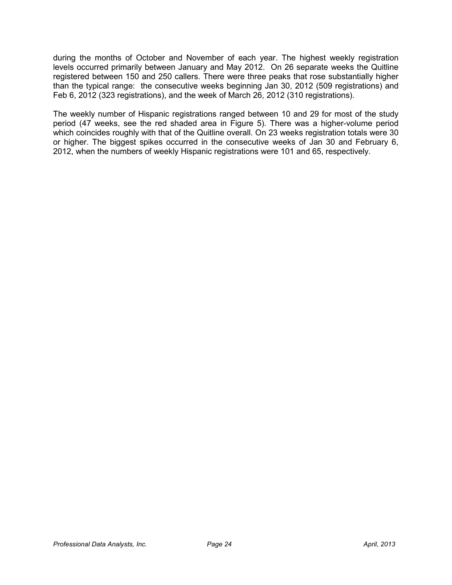during the months of October and November of each year. The highest weekly registration levels occurred primarily between January and May 2012. On 26 separate weeks the Quitline registered between 150 and 250 callers. There were three peaks that rose substantially higher than the typical range: the consecutive weeks beginning Jan 30, 2012 (509 registrations) and Feb 6, 2012 (323 registrations), and the week of March 26, 2012 (310 registrations).

The weekly number of Hispanic registrations ranged between 10 and 29 for most of the study period (47 weeks, see the red shaded area in Figure 5). There was a higher-volume period which coincides roughly with that of the Quitline overall. On 23 weeks registration totals were 30 or higher. The biggest spikes occurred in the consecutive weeks of Jan 30 and February 6, 2012, when the numbers of weekly Hispanic registrations were 101 and 65, respectively.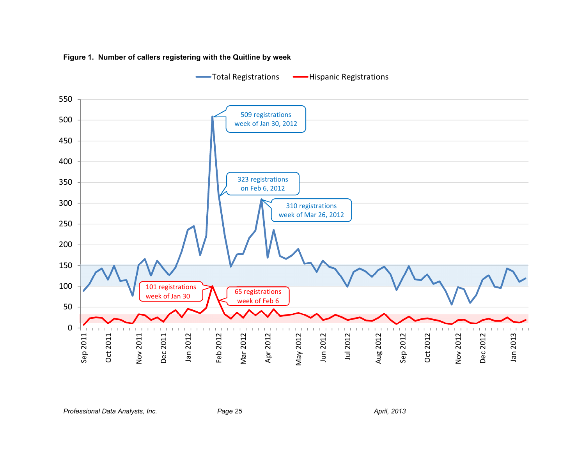

**Figure 1. Number of callers registering with the Quitline by week** 

Professional Data Analysts, Inc. **Page 25** *Page 25* April, 2013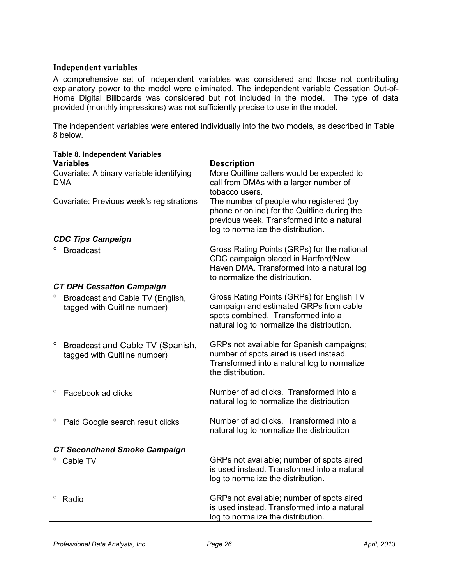### **Independent variables**

A comprehensive set of independent variables was considered and those not contributing explanatory power to the model were eliminated. The independent variable Cessation Out-of-Home Digital Billboards was considered but not included in the model. The type of data provided (monthly impressions) was not sufficiently precise to use in the model.

The independent variables were entered individually into the two models, as described in Table 8 below.

| <b>Variables</b>                                                      | <b>Description</b>                                                                                                                                                         |
|-----------------------------------------------------------------------|----------------------------------------------------------------------------------------------------------------------------------------------------------------------------|
| Covariate: A binary variable identifying<br><b>DMA</b>                | More Quitline callers would be expected to<br>call from DMAs with a larger number of<br>tobacco users.                                                                     |
| Covariate: Previous week's registrations                              | The number of people who registered (by<br>phone or online) for the Quitline during the<br>previous week. Transformed into a natural<br>log to normalize the distribution. |
| <b>CDC Tips Campaign</b>                                              |                                                                                                                                                                            |
| $\circ$<br><b>Broadcast</b>                                           | Gross Rating Points (GRPs) for the national<br>CDC campaign placed in Hartford/New<br>Haven DMA. Transformed into a natural log<br>to normalize the distribution.          |
| <b>CT DPH Cessation Campaign</b>                                      |                                                                                                                                                                            |
| О<br>Broadcast and Cable TV (English,<br>tagged with Quitline number) | Gross Rating Points (GRPs) for English TV<br>campaign and estimated GRPs from cable<br>spots combined. Transformed into a<br>natural log to normalize the distribution.    |
| O<br>Broadcast and Cable TV (Spanish,<br>tagged with Quitline number) | GRPs not available for Spanish campaigns;<br>number of spots aired is used instead.<br>Transformed into a natural log to normalize<br>the distribution.                    |
| O<br>Facebook ad clicks                                               | Number of ad clicks. Transformed into a<br>natural log to normalize the distribution                                                                                       |
| o<br>Paid Google search result clicks                                 | Number of ad clicks. Transformed into a<br>natural log to normalize the distribution                                                                                       |
| <b>CT Secondhand Smoke Campaign</b>                                   |                                                                                                                                                                            |
| $\circ$<br>Cable TV                                                   | GRPs not available; number of spots aired<br>is used instead. Transformed into a natural<br>log to normalize the distribution.                                             |
| $\circ$<br>Radio                                                      | GRPs not available; number of spots aired<br>is used instead. Transformed into a natural<br>log to normalize the distribution.                                             |

#### **Table 8. Independent Variables**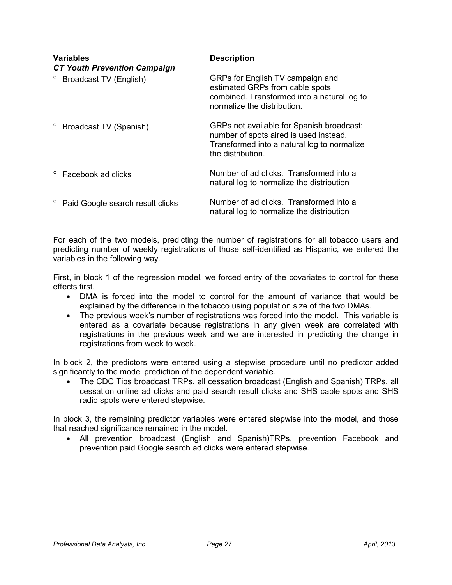| <b>Variables</b>                    | <b>Description</b>                                                                                                                                      |
|-------------------------------------|---------------------------------------------------------------------------------------------------------------------------------------------------------|
| <b>CT Youth Prevention Campaign</b> |                                                                                                                                                         |
| Broadcast TV (English)              | GRPs for English TV campaign and<br>estimated GRPs from cable spots<br>combined. Transformed into a natural log to<br>normalize the distribution.       |
| Broadcast TV (Spanish)              | GRPs not available for Spanish broadcast;<br>number of spots aired is used instead.<br>Transformed into a natural log to normalize<br>the distribution. |
| Facebook ad clicks                  | Number of ad clicks. Transformed into a<br>natural log to normalize the distribution                                                                    |
| Paid Google search result clicks    | Number of ad clicks. Transformed into a<br>natural log to normalize the distribution                                                                    |

For each of the two models, predicting the number of registrations for all tobacco users and predicting number of weekly registrations of those self-identified as Hispanic, we entered the variables in the following way.

First, in block 1 of the regression model, we forced entry of the covariates to control for these effects first.

- DMA is forced into the model to control for the amount of variance that would be explained by the difference in the tobacco using population size of the two DMAs.
- The previous week's number of registrations was forced into the model. This variable is entered as a covariate because registrations in any given week are correlated with registrations in the previous week and we are interested in predicting the change in registrations from week to week.

In block 2, the predictors were entered using a stepwise procedure until no predictor added significantly to the model prediction of the dependent variable.

• The CDC Tips broadcast TRPs, all cessation broadcast (English and Spanish) TRPs, all cessation online ad clicks and paid search result clicks and SHS cable spots and SHS radio spots were entered stepwise.

In block 3, the remaining predictor variables were entered stepwise into the model, and those that reached significance remained in the model.

• All prevention broadcast (English and Spanish)TRPs, prevention Facebook and prevention paid Google search ad clicks were entered stepwise.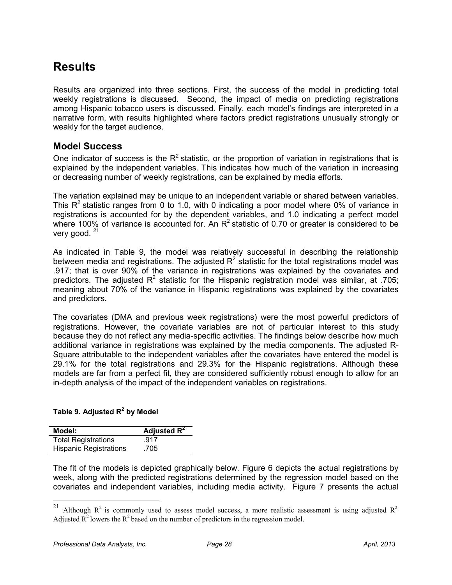### **Results**

Results are organized into three sections. First, the success of the model in predicting total weekly registrations is discussed. Second, the impact of media on predicting registrations among Hispanic tobacco users is discussed. Finally, each model's findings are interpreted in a narrative form, with results highlighted where factors predict registrations unusually strongly or weakly for the target audience.

### **Model Success**

One indicator of success is the  $R^2$  statistic, or the proportion of variation in registrations that is explained by the independent variables. This indicates how much of the variation in increasing or decreasing number of weekly registrations, can be explained by media efforts.

The variation explained may be unique to an independent variable or shared between variables. This  $R^2$  statistic ranges from 0 to 1.0, with 0 indicating a poor model where 0% of variance in registrations is accounted for by the dependent variables, and 1.0 indicating a perfect model where 100% of variance is accounted for. An  $R^2$  statistic of 0.70 or greater is considered to be very good.  $21$ 

As indicated in Table 9, the model was relatively successful in describing the relationship between media and registrations. The adjusted  $R^2$  statistic for the total registrations model was .917; that is over 90% of the variance in registrations was explained by the covariates and predictors. The adjusted  $R^2$  statistic for the Hispanic registration model was similar, at .705; meaning about 70% of the variance in Hispanic registrations was explained by the covariates and predictors.

The covariates (DMA and previous week registrations) were the most powerful predictors of registrations. However, the covariate variables are not of particular interest to this study because they do not reflect any media-specific activities. The findings below describe how much additional variance in registrations was explained by the media components. The adjusted R-Square attributable to the independent variables after the covariates have entered the model is 29.1% for the total registrations and 29.3% for the Hispanic registrations. Although these models are far from a perfect fit, they are considered sufficiently robust enough to allow for an in-depth analysis of the impact of the independent variables on registrations.

### **Table 9. Adjusted R<sup>2</sup> by Model**

| Model:                        | Adjusted $R^2$ |
|-------------------------------|----------------|
| <b>Total Registrations</b>    | .917           |
| <b>Hispanic Registrations</b> | .705           |

The fit of the models is depicted graphically below. Figure 6 depicts the actual registrations by week, along with the predicted registrations determined by the regression model based on the covariates and independent variables, including media activity. Figure 7 presents the actual

-

<sup>&</sup>lt;sup>21</sup> Although  $R^2$  is commonly used to assess model success, a more realistic assessment is using adjusted  $R^2$ . Adjusted  $\overline{R}^2$  lowers the  $R^2$  based on the number of predictors in the regression model.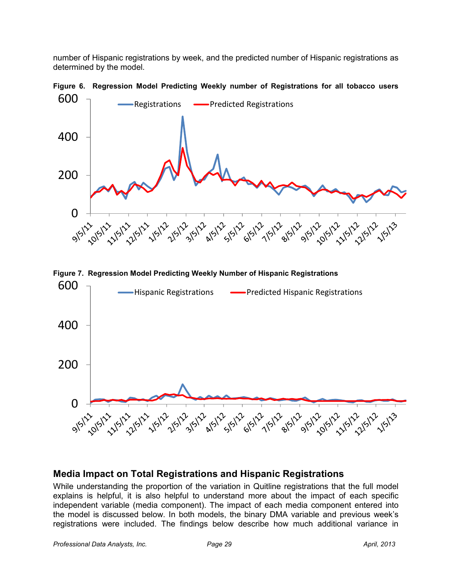number of Hispanic registrations by week, and the predicted number of Hispanic registrations as determined by the model.



**Figure 6. Regression Model Predicting Weekly number of Registrations for all tobacco users** 





### **Media Impact on Total Registrations and Hispanic Registrations**

While understanding the proportion of the variation in Quitline registrations that the full model explains is helpful, it is also helpful to understand more about the impact of each specific independent variable (media component). The impact of each media component entered into the model is discussed below. In both models, the binary DMA variable and previous week's registrations were included. The findings below describe how much additional variance in

Professional Data Analysts, Inc. **Page 29 April, 2013** April, 2013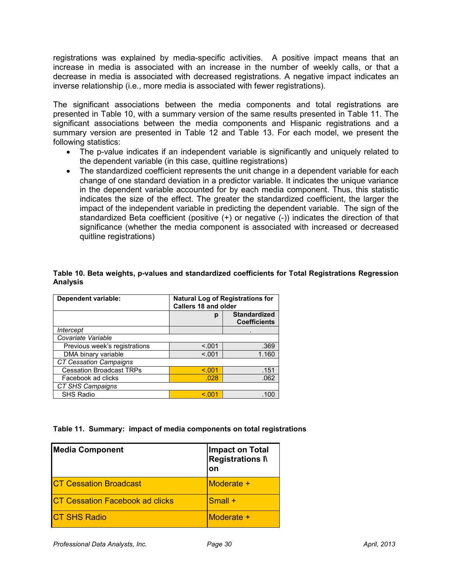registrations was explained by media-specific activities. A positive impact means that an increase in media is associated with an increase in the number of weekly calls, or that a decrease in media is associated with decreased registrations. A negative impact indicates an inverse relationship (i.e., more media is associated with fewer registrations).

The significant associations between the media components and total registrations are presented in Table 10, with a summary version of the same results presented in Table 11. The significant associations between the media components and Hispanic registrations and a summary version are presented in Table 12 and Table 13. For each model, we present the following statistics:

- The p-value indicates if an independent variable is significantly and uniquely related to the dependent variable (in this case, quitline registrations)
- The standardized coefficient represents the unit change in a dependent variable for each change of one standard deviation in a predictor variable. It indicates the unique variance in the dependent variable accounted for by each media component. Thus, this statistic indicates the size of the effect. The greater the standardized coefficient, the larger the impact of the independent variable in predicting the dependent variable. The sign of the standardized Beta coefficient (positive (+) or negative (-)) indicates the direction of that significance (whether the media component is associated with increased or decreased quitline registrations)

#### **Table 10. Beta weights, p-values and standardized coefficients for Total Registrations Regression Analysis**

| <b>Dependent variable:</b>      | <b>Natural Log of Registrations for</b><br><b>Callers 18 and older</b> |                                            |
|---------------------------------|------------------------------------------------------------------------|--------------------------------------------|
|                                 | р                                                                      | <b>Standardized</b><br><b>Coefficients</b> |
| Intercept                       |                                                                        |                                            |
| Covariate Variable              |                                                                        |                                            |
| Previous week's registrations   | < 0.01                                                                 | .369                                       |
| DMA binary variable             | < 0.001                                                                | 1.160                                      |
| <b>CT Cessation Campaigns</b>   |                                                                        |                                            |
| <b>Cessation Broadcast TRPs</b> | < 0.001                                                                | .151                                       |
| Facebook ad clicks              | .028                                                                   | .062                                       |
| CT SHS Campaigns                |                                                                        |                                            |
| <b>SHS Radio</b>                | < 001                                                                  |                                            |

**Table 11. Summary: impact of media components on total registrations** 

| <b>Media Component</b>                 | Impact on Total<br><b>Registrations IV</b><br>on |
|----------------------------------------|--------------------------------------------------|
| <b>CT Cessation Broadcast</b>          | Moderate +                                       |
| <b>CT Cessation Facebook ad clicks</b> | $\mathsf{Small}~\text{+}$                        |
| <b>CT SHS Radio</b>                    | Moderate +                                       |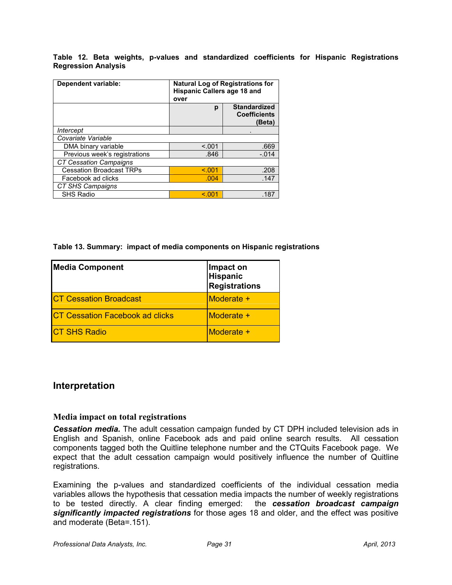**Table 12. Beta weights, p-values and standardized coefficients for Hispanic Registrations Regression Analysis** 

| Dependent variable:             | <b>Natural Log of Registrations for</b><br><b>Hispanic Callers age 18 and</b><br>over |                                                      |
|---------------------------------|---------------------------------------------------------------------------------------|------------------------------------------------------|
|                                 | р                                                                                     | <b>Standardized</b><br><b>Coefficients</b><br>(Beta) |
| Intercept                       |                                                                                       |                                                      |
| Covariate Variable              |                                                                                       |                                                      |
| DMA binary variable             | < .001                                                                                | .669                                                 |
| Previous week's registrations   | .846                                                                                  | $-.014$                                              |
| <b>CT Cessation Campaigns</b>   |                                                                                       |                                                      |
| <b>Cessation Broadcast TRPs</b> | < 0.01                                                                                | .208                                                 |
| Facebook ad clicks              | .004                                                                                  | .147                                                 |
| CT SHS Campaigns                |                                                                                       |                                                      |
| <b>SHS Radio</b>                | < 0.01                                                                                | .187                                                 |

**Table 13. Summary: impact of media components on Hispanic registrations** 

| <b>Media Component</b>                 | Impact on<br><b>Hispanic</b><br><b>Registrations</b> |
|----------------------------------------|------------------------------------------------------|
| <b>CT Cessation Broadcast</b>          | Moderate +                                           |
| <b>CT Cessation Facebook ad clicks</b> | Moderate +                                           |
| <b>CT SHS Radio</b>                    | Moderate +                                           |

### **Interpretation**

### **Media impact on total registrations**

*Cessation media.* The adult cessation campaign funded by CT DPH included television ads in English and Spanish, online Facebook ads and paid online search results. All cessation components tagged both the Quitline telephone number and the CTQuits Facebook page. We expect that the adult cessation campaign would positively influence the number of Quitline registrations.

Examining the p-values and standardized coefficients of the individual cessation media variables allows the hypothesis that cessation media impacts the number of weekly registrations to be tested directly. A clear finding emerged: the *cessation broadcast campaign significantly impacted registrations* for those ages 18 and older, and the effect was positive and moderate (Beta=.151).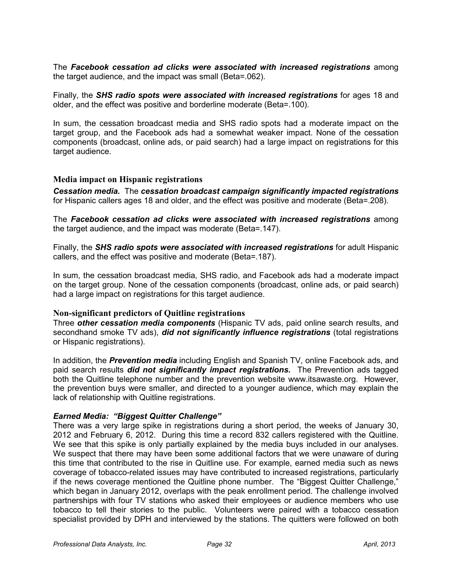The *Facebook cessation ad clicks were associated with increased registrations* among the target audience, and the impact was small (Beta=.062).

Finally, the *SHS radio spots were associated with increased registrations* for ages 18 and older, and the effect was positive and borderline moderate (Beta=.100).

In sum, the cessation broadcast media and SHS radio spots had a moderate impact on the target group, and the Facebook ads had a somewhat weaker impact. None of the cessation components (broadcast, online ads, or paid search) had a large impact on registrations for this target audience.

#### **Media impact on Hispanic registrations**

*Cessation media.* The *cessation broadcast campaign significantly impacted registrations* for Hispanic callers ages 18 and older, and the effect was positive and moderate (Beta=.208).

The *Facebook cessation ad clicks were associated with increased registrations* among the target audience, and the impact was moderate (Beta=.147).

Finally, the *SHS radio spots were associated with increased registrations* for adult Hispanic callers, and the effect was positive and moderate (Beta=.187).

In sum, the cessation broadcast media, SHS radio, and Facebook ads had a moderate impact on the target group. None of the cessation components (broadcast, online ads, or paid search) had a large impact on registrations for this target audience.

#### **Non-significant predictors of Quitline registrations**

Three *other cessation media components* (Hispanic TV ads, paid online search results, and secondhand smoke TV ads), *did not significantly influence registrations* (total registrations or Hispanic registrations).

In addition, the *Prevention media* including English and Spanish TV, online Facebook ads, and paid search results *did not significantly impact registrations.* The Prevention ads tagged both the Quitline telephone number and the prevention website www.itsawaste.org. However, the prevention buys were smaller, and directed to a younger audience, which may explain the lack of relationship with Quitline registrations.

#### *Earned Media: "Biggest Quitter Challenge"*

There was a very large spike in registrations during a short period, the weeks of January 30, 2012 and February 6, 2012. During this time a record 832 callers registered with the Quitline. We see that this spike is only partially explained by the media buys included in our analyses. We suspect that there may have been some additional factors that we were unaware of during this time that contributed to the rise in Quitline use. For example, earned media such as news coverage of tobacco-related issues may have contributed to increased registrations, particularly if the news coverage mentioned the Quitline phone number. The "Biggest Quitter Challenge," which began in January 2012, overlaps with the peak enrollment period. The challenge involved partnerships with four TV stations who asked their employees or audience members who use tobacco to tell their stories to the public. Volunteers were paired with a tobacco cessation specialist provided by DPH and interviewed by the stations. The quitters were followed on both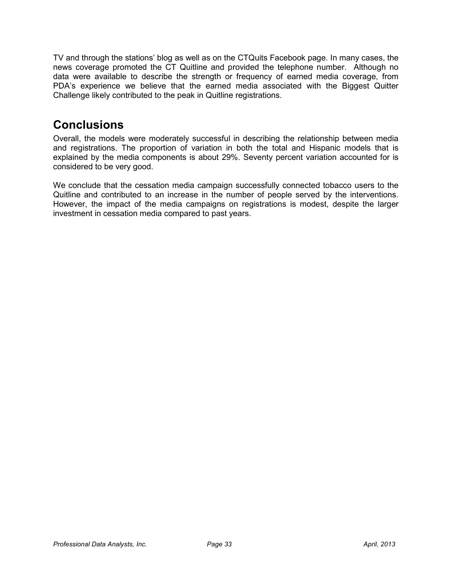TV and through the stations' blog as well as on the CTQuits Facebook page. In many cases, the news coverage promoted the CT Quitline and provided the telephone number. Although no data were available to describe the strength or frequency of earned media coverage, from PDA's experience we believe that the earned media associated with the Biggest Quitter Challenge likely contributed to the peak in Quitline registrations.

### **Conclusions**

Overall, the models were moderately successful in describing the relationship between media and registrations. The proportion of variation in both the total and Hispanic models that is explained by the media components is about 29%. Seventy percent variation accounted for is considered to be very good.

We conclude that the cessation media campaign successfully connected tobacco users to the Quitline and contributed to an increase in the number of people served by the interventions. However, the impact of the media campaigns on registrations is modest, despite the larger investment in cessation media compared to past years.